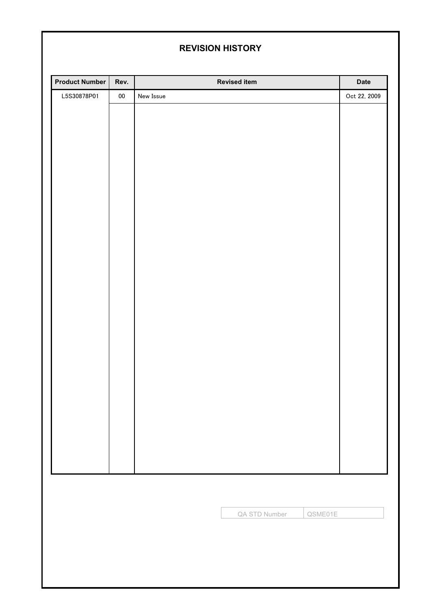# **REVISION HISTORY**

| Product Number | Rev.       |           | <b>Revised item</b>      | <b>Date</b>  |
|----------------|------------|-----------|--------------------------|--------------|
| L5S30878P01    | ${\bf 00}$ | New Issue |                          | Oct 22, 2009 |
|                |            |           |                          |              |
|                |            |           |                          |              |
|                |            |           |                          |              |
|                |            |           |                          |              |
|                |            |           |                          |              |
|                |            |           |                          |              |
|                |            |           |                          |              |
|                |            |           |                          |              |
|                |            |           |                          |              |
|                |            |           |                          |              |
|                |            |           |                          |              |
|                |            |           |                          |              |
|                |            |           |                          |              |
|                |            |           |                          |              |
|                |            |           |                          |              |
|                |            |           |                          |              |
|                |            |           |                          |              |
|                |            |           |                          |              |
|                |            |           |                          |              |
|                |            |           |                          |              |
|                |            |           |                          |              |
|                |            |           |                          |              |
|                |            |           |                          |              |
|                |            |           |                          |              |
|                |            |           |                          |              |
|                |            |           |                          |              |
|                |            |           |                          |              |
|                |            |           |                          |              |
|                |            |           | QA STD Number<br>QSME01E |              |
|                |            |           |                          |              |
|                |            |           |                          |              |
|                |            |           |                          |              |
|                |            |           |                          |              |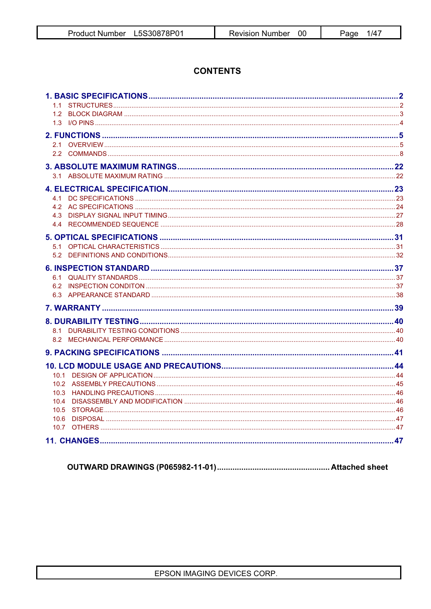# **CONTENTS**

| 10.4<br>10.5 |  |
|--------------|--|
|              |  |
|              |  |
|              |  |
|              |  |
|              |  |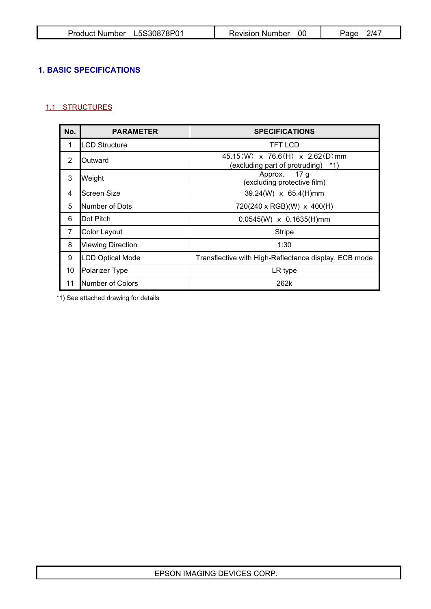| Product Number L5S30878P01 | Revision Number | 2/47<br>Page |
|----------------------------|-----------------|--------------|
|----------------------------|-----------------|--------------|

# **1. BASIC SPECIFICATIONS**

# 1.1 STRUCTURES

| No.            | <b>PARAMETER</b>         | <b>SPECIFICATIONS</b>                                                             |
|----------------|--------------------------|-----------------------------------------------------------------------------------|
| 1              | LCD Structure            | <b>TFT LCD</b>                                                                    |
| 2              | Outward                  | $45.15(W) \times 76.6(H) \times 2.62(D)$ mm<br>(excluding part of protruding) *1) |
| 3              | Weight                   | Approx. 17 g<br>(excluding protective film)                                       |
| 4              | <b>Screen Size</b>       | $39.24(W) \times 65.4(H)$ mm                                                      |
| 5              | Number of Dots           | $720(240 \times \text{RGB})(W) \times 400(H)$                                     |
| 6              | Dot Pitch                | $0.0545(W) \times 0.1635(H)$ mm                                                   |
| $\overline{7}$ | Color Layout             | <b>Stripe</b>                                                                     |
| 8              | <b>Viewing Direction</b> | 1:30                                                                              |
| 9              | <b>LCD Optical Mode</b>  | Transflective with High-Reflectance display, ECB mode                             |
| 10             | Polarizer Type           | LR type                                                                           |
| 11             | <b>INumber of Colors</b> | 262k                                                                              |

\*1) See attached drawing for details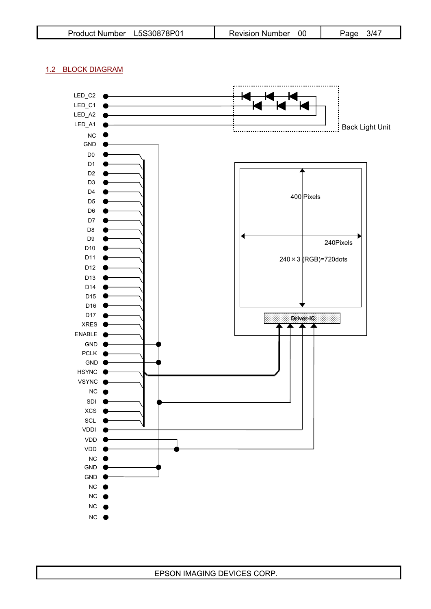| L5S30878P01<br><b>Product Number</b> | <b>Revision Number</b> | 3/4<br>Paɑe |
|--------------------------------------|------------------------|-------------|
|--------------------------------------|------------------------|-------------|

# 1.2 BLOCK DIAGRAM

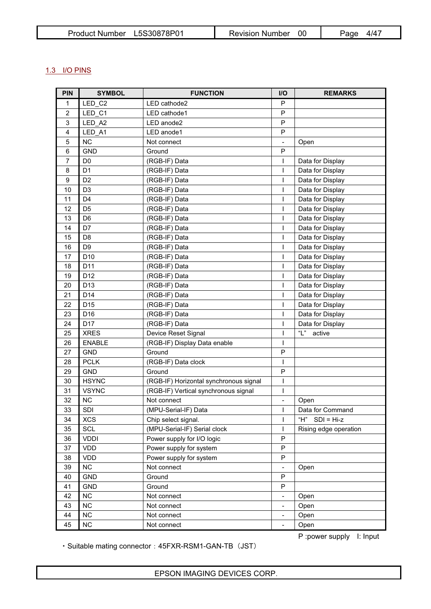| Product Number L5S30878P01 | Revision Number | 4/47<br>Page |
|----------------------------|-----------------|--------------|
|----------------------------|-----------------|--------------|

# 1.3 I/O PINS

| <b>PIN</b>     | <b>SYMBOL</b>   | <b>FUNCTION</b>                        | I/O                          | <b>REMARKS</b>        |
|----------------|-----------------|----------------------------------------|------------------------------|-----------------------|
| $\mathbf{1}$   | LED C2          | LED cathode2                           | P                            |                       |
| $\overline{2}$ | LED C1          | LED cathode1                           | P                            |                       |
| 3              | LED_A2          | LED anode2                             | $\mathsf{P}$                 |                       |
| 4              | LED A1          | LED anode1                             | P                            |                       |
| 5              | <b>NC</b>       | Not connect                            | $\qquad \qquad \blacksquare$ | Open                  |
| 6              | <b>GND</b>      | Ground                                 | P                            |                       |
| $\overline{7}$ | D <sub>0</sub>  | (RGB-IF) Data                          |                              | Data for Display      |
| 8              | D <sub>1</sub>  | (RGB-IF) Data                          | ı                            | Data for Display      |
| 9              | D <sub>2</sub>  | (RGB-IF) Data                          | I                            | Data for Display      |
| 10             | D <sub>3</sub>  | (RGB-IF) Data                          | ı                            | Data for Display      |
| 11             | D <sub>4</sub>  | (RGB-IF) Data                          | ı                            | Data for Display      |
| 12             | D <sub>5</sub>  | (RGB-IF) Data                          | T                            | Data for Display      |
| 13             | D <sub>6</sub>  | (RGB-IF) Data                          | I                            | Data for Display      |
| 14             | D7              | (RGB-IF) Data                          | I                            | Data for Display      |
| 15             | D <sub>8</sub>  | (RGB-IF) Data                          | T                            | Data for Display      |
| 16             | D <sub>9</sub>  | (RGB-IF) Data                          | I                            | Data for Display      |
| 17             | D <sub>10</sub> | (RGB-IF) Data                          |                              | Data for Display      |
| 18             | D <sub>11</sub> | (RGB-IF) Data                          | I                            | Data for Display      |
| 19             | D <sub>12</sub> | (RGB-IF) Data                          | I                            | Data for Display      |
| 20             | D <sub>13</sub> | (RGB-IF) Data                          | T                            | Data for Display      |
| 21             | D <sub>14</sub> | (RGB-IF) Data                          | I                            | Data for Display      |
| 22             | D <sub>15</sub> | (RGB-IF) Data                          | T                            | Data for Display      |
| 23             | D <sub>16</sub> | (RGB-IF) Data                          | I                            | Data for Display      |
| 24             | D <sub>17</sub> | (RGB-IF) Data                          | I                            | Data for Display      |
| 25             | <b>XRES</b>     | Device Reset Signal                    | ı                            | " $L$ "<br>active     |
| 26             | <b>ENABLE</b>   | (RGB-IF) Display Data enable           | $\mathsf{I}$                 |                       |
| 27             | <b>GND</b>      | Ground                                 | $\mathsf{P}$                 |                       |
| 28             | <b>PCLK</b>     | (RGB-IF) Data clock                    | $\mathbf{I}$                 |                       |
| 29             | <b>GND</b>      | Ground                                 | $\mathsf{P}$                 |                       |
| 30             | <b>HSYNC</b>    | (RGB-IF) Horizontal synchronous signal | $\mathsf{I}$                 |                       |
| 31             | <b>VSYNC</b>    | (RGB-IF) Vertical synchronous signal   | $\mathsf{I}$                 |                       |
| 32             | NC              | Not connect                            |                              | Open                  |
| 33             | SDI             | (MPU-Serial-IF) Data                   |                              | Data for Command      |
| 34             | <b>XCS</b>      | Chip select signal.                    | I                            | "H"<br>$SDI = Hi-z$   |
| 35             | <b>SCL</b>      | (MPU-Serial-IF) Serial clock           | $\overline{1}$               | Rising edge operation |
| 36             | <b>VDDI</b>     | Power supply for I/O logic             | P                            |                       |
| 37             | <b>VDD</b>      | Power supply for system                | ${\sf P}$                    |                       |
| 38             | <b>VDD</b>      | Power supply for system                | P                            |                       |
| 39             | NC              | Not connect                            | $\qquad \qquad \blacksquare$ | Open                  |
| 40             | GND             | Ground                                 | P                            |                       |
| 41             | <b>GND</b>      | Ground                                 | P                            |                       |
| 42             | NC              | Not connect                            | $\qquad \qquad \blacksquare$ | Open                  |
| 43             | <b>NC</b>       | Not connect                            | $\blacksquare$               | Open                  |
| 44             | NC              | Not connect                            |                              | Open                  |
| 45             | NC              | Not connect                            | $\overline{\phantom{0}}$     | Open                  |

P : power supply I: Input

• Suitable mating connector : 45FXR-RSM1-GAN-TB (JST)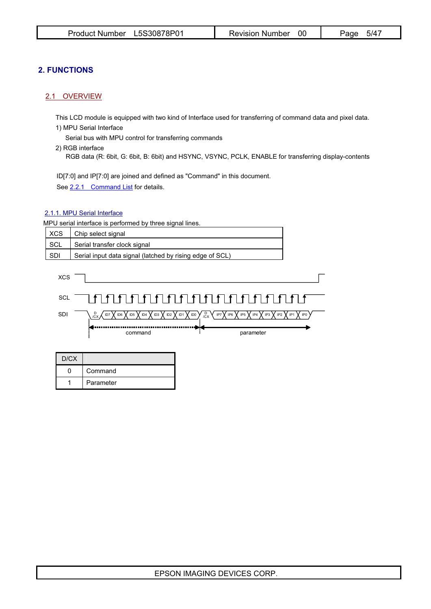# **2. FUNCTIONS**

### 2.1 OVERVIEW

This LCD module is equipped with two kind of Interface used for transferring of command data and pixel data. 1) MPU Serial Interface

Serial bus with MPU control for transferring commands

2) RGB interface

RGB data (R: 6bit, G: 6bit, B: 6bit) and HSYNC, VSYNC, PCLK, ENABLE for transferring display-contents

ID[7:0] and IP[7:0] are joined and defined as "Command" in this document.

See 2.2.1 Command List for details.

### 2.1.1. MPU Serial Interface

MPU serial interface is performed by three signal lines.

| <b>XCS</b> | Chip select signal                                       |  |  |  |
|------------|----------------------------------------------------------|--|--|--|
| SCL        | Serial transfer clock signal                             |  |  |  |
| SDI        | Serial input data signal (latched by rising edge of SCL) |  |  |  |
| <b>XCS</b> |                                                          |  |  |  |
| <b>SCL</b> |                                                          |  |  |  |

D /CX  $\mathsf{SDI} \qquad \big\backslash \begin{smallmatrix} \mathsf{D} & \mathsf{D} \ \mathsf{D}\subset \mathsf{X} \end{smallmatrix} \big\}$  ids  $\big\backslash$  id3  $\big\backslash$  id2  $\big\backslash$  id1  $\big\backslash$  id0  $\big\backslash$   $\begin{smallmatrix} \mathsf{D} & \mathsf{X} \ \mathsf{D}\subset \mathsf{X} \end{smallmatrix}$  ip $\big\backslash$  ips  $\big\backslash$  ip3  $\big\backslash$  ip2  $\big\backslash$  ip1  $\big\backslash$ 

| nd |  |  |  |  |  |
|----|--|--|--|--|--|

command is parameter

| D/CX |           |  |
|------|-----------|--|
|      | Command   |  |
|      | Parameter |  |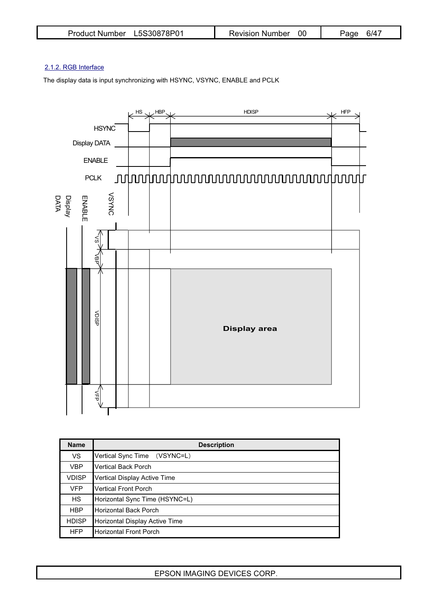| Product Number L5S30878P01 | Revision Number | 6/41<br>Page |
|----------------------------|-----------------|--------------|
|----------------------------|-----------------|--------------|

## 2.1.2. RGB Interface

The display data is input synchronizing with HSYNC, VSYNC, ENABLE and PCLK



| <b>Name</b>  | <b>Description</b>             |
|--------------|--------------------------------|
| <b>VS</b>    | Vertical Sync Time (VSYNC=L)   |
| <b>VBP</b>   | <b>Vertical Back Porch</b>     |
| <b>VDISP</b> | Vertical Display Active Time   |
| <b>VFP</b>   | <b>Vertical Front Porch</b>    |
| <b>HS</b>    | Horizontal Sync Time (HSYNC=L) |
| <b>HBP</b>   | Horizontal Back Porch          |
| <b>HDISP</b> | Horizontal Display Active Time |
| <b>HFP</b>   | Horizontal Front Porch         |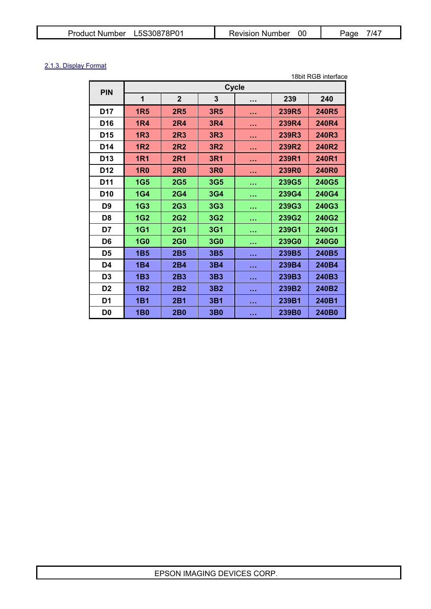| L5S30878P01           | <b>Revision Number</b> | $7/4^-$ |
|-----------------------|------------------------|---------|
| <b>Product Number</b> | -00                    | Page    |

# 2.1.3. Display Format

|                 |            |                 |                 |              |              | 18bit RGB interface |
|-----------------|------------|-----------------|-----------------|--------------|--------------|---------------------|
| <b>PIN</b>      |            |                 |                 | <b>Cycle</b> |              |                     |
|                 | 1          | $\mathbf{2}$    | 3               | $\cdots$     | 239          | 240                 |
| <b>D17</b>      | <b>1R5</b> | <b>2R5</b>      | <b>3R5</b>      | .            | 239R5        | 240R5               |
| D <sub>16</sub> | <b>1R4</b> | <b>2R4</b>      | <b>3R4</b>      | .            | 239R4        | 240R4               |
| D <sub>15</sub> | <b>1R3</b> | <b>2R3</b>      | 3R3             | .            | 239R3        | 240R3               |
| D <sub>14</sub> | <b>1R2</b> | <b>2R2</b>      | 3R <sub>2</sub> | .            | 239R2        | 240R2               |
| D <sub>13</sub> | <b>1R1</b> | <b>2R1</b>      | <b>3R1</b>      | .            | 239R1        | 240R1               |
| D <sub>12</sub> | <b>1R0</b> | <b>2R0</b>      | <b>3R0</b>      | .            | <b>239R0</b> | <b>240R0</b>        |
| <b>D11</b>      | <b>1G5</b> | <b>2G5</b>      | 3G5             | <b>.</b>     | 239G5        | 240G5               |
| D <sub>10</sub> | <b>1G4</b> | <b>2G4</b>      | 3G4             | <b>.</b>     | 239G4        | 240G4               |
| D9              | <b>1G3</b> | <b>2G3</b>      | <b>3G3</b>      | <b>.</b>     | 239G3        | 240G3               |
| D8              | <b>1G2</b> | <b>2G2</b>      | 3G2             | .            | 239G2        | 240G2               |
| D7              | <b>1G1</b> | <b>2G1</b>      | 3G1             | <b>.</b>     | 239G1        | 240G1               |
| D <sub>6</sub>  | <b>1G0</b> | <b>2G0</b>      | <b>3G0</b>      | <b>A</b> 2.9 | 239G0        | 240G0               |
| D5              | <b>1B5</b> | <b>2B5</b>      | 3B <sub>5</sub> | .            | 239B5        | 240B5               |
| D4              | <b>1B4</b> | <b>2B4</b>      | 3B4             | .            | 239B4        | 240B4               |
| D3              | <b>1B3</b> | 2B <sub>3</sub> | 3B <sub>3</sub> | .            | 239B3        | 240B3               |
| D <sub>2</sub>  | <b>1B2</b> | 2B2             | 3B <sub>2</sub> | .            | 239B2        | 240B2               |
| D <sub>1</sub>  | <b>1B1</b> | <b>2B1</b>      | <b>3B1</b>      | <b></b>      | 239B1        | 240B1               |
| D0              | <b>1B0</b> | <b>2B0</b>      | 3 <sub>B0</sub> | <b>A 4 H</b> | 239B0        | 240B0               |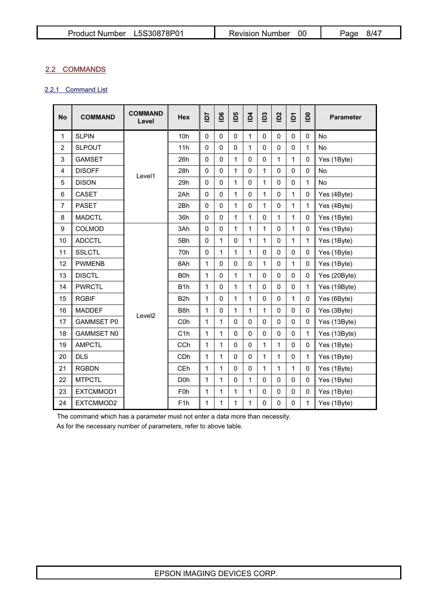# 2.2 COMMANDS

# 2.2.1 Command List

| <b>No</b>      | <b>COMMAND</b>    | <b>COMMAND</b><br>Level | <b>Hex</b>       | 54           | $\overline{5}$ | <b>D5</b>      | $\overline{a}$ | $\overline{D}3$ | $\overline{2}$ | $\overline{a}$ | $\overline{0}$ | <b>Parameter</b> |
|----------------|-------------------|-------------------------|------------------|--------------|----------------|----------------|----------------|-----------------|----------------|----------------|----------------|------------------|
| 1              | <b>SLPIN</b>      |                         | 10h              | $\mathbf{0}$ | $\Omega$       | $\mathbf{0}$   | 1              | $\Omega$        | $\Omega$       | $\mathbf{0}$   | $\Omega$       | <b>No</b>        |
| $\overline{c}$ | <b>SLPOUT</b>     |                         | 11h              | $\mathbf{0}$ | $\mathbf{0}$   | $\mathbf 0$    | 1              | $\mathbf{0}$    | $\mathbf{0}$   | $\mathbf 0$    | 1              | No               |
| 3              | <b>GAMSET</b>     |                         | 26h              | $\mathbf{0}$ | $\mathbf{0}$   | 1              | $\mathbf 0$    | 0               | 1              | 1              | 0              | Yes (1Byte)      |
| 4              | <b>DISOFF</b>     | Level1                  | 28h              | 0            | $\Omega$       | 1              | $\mathbf 0$    | 1               | $\mathbf{0}$   | $\mathbf 0$    | 0              | <b>No</b>        |
| 5              | <b>DISON</b>      |                         | 29h              | $\mathbf{0}$ | 0              | $\mathbf{1}$   | $\mathbf{0}$   | 1               | $\mathbf{0}$   | $\mathbf{0}$   | 1              | No               |
| 6              | <b>CASET</b>      |                         | 2Ah              | $\mathbf{0}$ | 0              | 1              | $\mathbf 0$    | 1               | $\mathbf 0$    | $\mathbf{1}$   | 0              | Yes (4Byte)      |
| $\overline{7}$ | <b>PASET</b>      |                         | 2Bh              | $\mathbf{0}$ | $\Omega$       | 1              | $\mathbf 0$    | 1               | $\mathbf{0}$   | 1              | $\mathbf{1}$   | Yes (4Byte)      |
| 8              | <b>MADCTL</b>     |                         | 36h              | $\mathbf{0}$ | $\mathbf{0}$   | 1              | 1              | 0               | 1              | 1              | 0              | Yes (1Byte)      |
| 9              | <b>COLMOD</b>     |                         | 3Ah              | $\mathbf{0}$ | $\mathbf{0}$   | 1              | 1              | 1               | $\mathbf{0}$   | 1              | $\Omega$       | Yes (1Byte)      |
| 10             | <b>ADCCTL</b>     |                         | 5Bh              | $\mathbf{0}$ | 1              | $\mathbf{0}$   | 1              | 1               | $\mathbf{0}$   | 1              | 1              | Yes (1Byte)      |
| 11             | <b>SSLCTL</b>     |                         | 70 <sub>h</sub>  | $\mathbf{0}$ | 1              | 1              | 1              | 0               | $\mathbf 0$    | $\Omega$       | 0              | Yes (1Byte)      |
| 12             | <b>PWMENB</b>     |                         | 8Ah              | 1            | $\mathbf{0}$   | $\overline{0}$ | $\mathbf{0}$   | 1               | $\mathbf{0}$   | $\mathbf{1}$   | 0              | Yes (1Byte)      |
| 13             | <b>DISCTL</b>     |                         | B <sub>0</sub> h | 1            | 0              | $\mathbf{1}$   | 1              | $\mathbf 0$     | $\mathbf{0}$   | $\mathbf{0}$   | 0              | Yes (20Byte)     |
| 14             | <b>PWRCTL</b>     |                         | B <sub>1</sub> h | 1            | $\Omega$       | 1              | 1              | 0               | $\mathbf{0}$   | $\mathbf 0$    | $\mathbf{1}$   | Yes (19Byte)     |
| 15             | <b>RGBIF</b>      |                         | B <sub>2</sub> h | 1            | $\mathbf{0}$   | 1              | 1              | 0               | $\mathbf 0$    | 1              | 0              | Yes (6Byte)      |
| 16             | <b>MADDEF</b>     | Level <sub>2</sub>      | B <sub>8</sub> h | 1            | $\mathbf{0}$   | 1              | 1              | 1               | $\mathbf 0$    | $\mathbf{0}$   | 0              | Yes (3Byte)      |
| 17             | <b>GAMMSET P0</b> |                         | C <sub>0</sub> h | 1            | 1              | $\mathbf{0}$   | $\mathbf 0$    | $\Omega$        | $\Omega$       | $\Omega$       | $\Omega$       | Yes (13Byte)     |
| 18             | <b>GAMMSET NO</b> |                         | C1h              | 1            | 1              | 0              | $\mathbf 0$    | $\mathbf{0}$    | 0              | $\Omega$       | 1              | Yes (13Byte)     |
| 19             | <b>AMPCTL</b>     |                         | CCh              | 1            | 1              | $\mathbf{0}$   | $\mathbf 0$    | 1               | $\mathbf{1}$   | $\mathbf{0}$   | 0              | Yes (1Byte)      |
| 20             | <b>DLS</b>        |                         | CDh              | 1            | 1              | $\Omega$       | $\mathbf 0$    | 1               | 1              | $\Omega$       | $\mathbf{1}$   | Yes (1Byte)      |
| 21             | <b>RGBDN</b>      |                         | CEh              | 1            | 1              | $\mathbf{0}$   | $\mathbf 0$    | 1               | 1              | 1              | 0              | Yes (1Byte)      |
| 22             | <b>MTPCTL</b>     |                         | D <sub>0</sub> h | 1            | 1              | $\mathbf{0}$   | 1              | $\mathbf{0}$    | $\mathbf 0$    | $\mathbf{0}$   | $\Omega$       | Yes (1Byte)      |
| 23             | EXTCMMOD1         |                         | F <sub>0</sub> h | 1            | 1              | 1              | 1              | 0               | 0              | $\mathbf 0$    | 0              | Yes (1Byte)      |
| 24             | EXTCMMOD2         |                         | F <sub>1</sub> h | 1            | 1              | 1              | 1              | 0               | 0              | 0              | 1              | Yes (1Byte)      |

The command which has a parameter must not enter a data more than necessity.

As for the necessary number of parameters, refer to above table.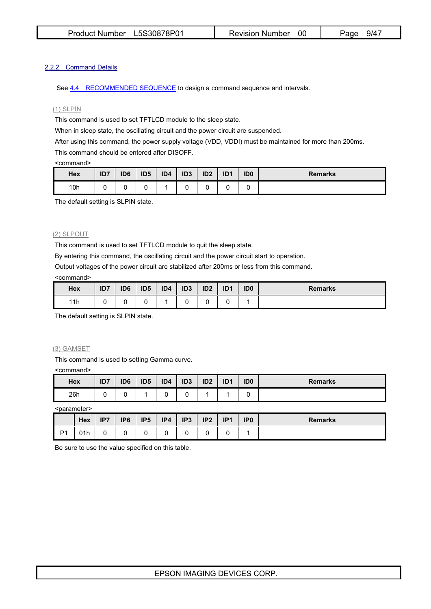#### 2.2.2 Command Details

See 4.4 RECOMMENDED SEQUENCE to design a command sequence and intervals.

### (1) SLPIN

This command is used to set TFTLCD module to the sleep state.

When in sleep state, the oscillating circuit and the power circuit are suspended.

After using this command, the power supply voltage (VDD, VDDI) must be maintained for more than 200ms.

This command should be entered after DISOFF.

#### <command>

| Hex | ID7 | ID <sub>6</sub> | ID <sub>5</sub> | ID4 | ID <sub>3</sub> | ID <sub>2</sub> | ID <sub>1</sub> | ID <sub>0</sub> | <b>Remarks</b> |
|-----|-----|-----------------|-----------------|-----|-----------------|-----------------|-----------------|-----------------|----------------|
| 10h |     |                 |                 |     |                 |                 |                 |                 |                |

The default setting is SLPIN state.

#### (2) SLPOUT

This command is used to set TFTLCD module to quit the sleep state.

By entering this command, the oscillating circuit and the power circuit start to operation.

Output voltages of the power circuit are stabilized after 200ms or less from this command.

#### <command>

| Hex | ID7 | ID <sub>6</sub> | ID <sub>5</sub> | ID4 | ID <sub>3</sub> | ID <sub>2</sub> | ID <sub>1</sub> | ID <sub>0</sub> | <b>Remarks</b> |
|-----|-----|-----------------|-----------------|-----|-----------------|-----------------|-----------------|-----------------|----------------|
| 11h |     |                 |                 |     |                 |                 |                 |                 |                |

The default setting is SLPIN state.

#### (3) GAMSET

This command is used to setting Gamma curve.

<command>

| Hex | ID7 | ID <sub>6</sub> | ID <sub>5</sub> | ID4 | ID <sub>3</sub> | ID <sub>2</sub> | ID <sub>1</sub> | ID <sub>0</sub> | <b>Remarks</b> |
|-----|-----|-----------------|-----------------|-----|-----------------|-----------------|-----------------|-----------------|----------------|
| 26h |     |                 |                 |     |                 |                 |                 |                 |                |

<parameter>

|                | <b>Hex</b> | IP7 | IP <sub>6</sub> | IP <sub>5</sub> | IP4 | IP <sub>3</sub> | IP <sub>2</sub> | IP <sub>1</sub> | IP <sub>0</sub> | <b>Remarks</b> |
|----------------|------------|-----|-----------------|-----------------|-----|-----------------|-----------------|-----------------|-----------------|----------------|
| P <sub>1</sub> | 01h        | ັ   |                 |                 |     |                 |                 |                 |                 |                |

Be sure to use the value specified on this table.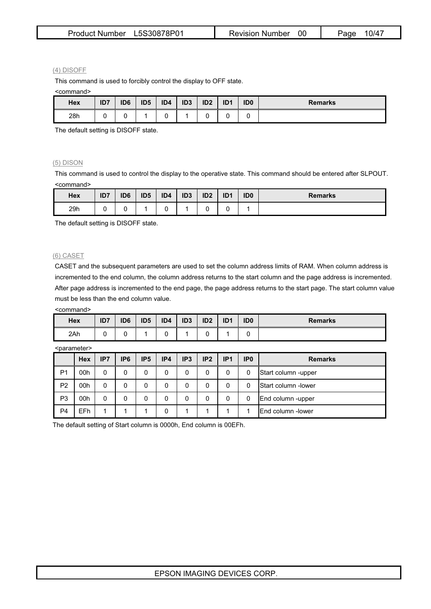| Product Number L5S30878P01 | Revision Number 00 | 10/47<br>Page |
|----------------------------|--------------------|---------------|
|----------------------------|--------------------|---------------|

#### (4) DISOFF

This command is used to forcibly control the display to OFF state.

<command>

| Hex | ID7 | ID <sub>6</sub> | ID <sub>5</sub> | ID4 | ID <sub>3</sub> | ID <sub>2</sub> | ID <sub>1</sub> | ID <sub>0</sub> | <b>Remarks</b> |
|-----|-----|-----------------|-----------------|-----|-----------------|-----------------|-----------------|-----------------|----------------|
| 28h |     | ∼               |                 |     |                 |                 |                 | ັ               |                |

The default setting is DISOFF state.

#### (5) DISON

This command is used to control the display to the operative state. This command should be entered after SLPOUT. <command>

| Hex | ID7 | ID <sub>6</sub> | ID <sub>5</sub> | ID4 | ID <sub>3</sub> | ID <sub>2</sub> | ID <sub>1</sub> | ID <sub>0</sub> | <b>Remarks</b> |
|-----|-----|-----------------|-----------------|-----|-----------------|-----------------|-----------------|-----------------|----------------|
| 29h | ∼   |                 |                 |     |                 | ັ               |                 |                 |                |

The default setting is DISOFF state.

#### (6) CASET

CASET and the subsequent parameters are used to set the column address limits of RAM. When column address is incremented to the end column, the column address returns to the start column and the page address is incremented. After page address is incremented to the end page, the page address returns to the start page. The start column value must be less than the end column value.

<command>

| <b>Hex</b> | ID7 | ID <sub>6</sub> | ID <sub>5</sub> | ID4 | ID <sub>3</sub> | ID <sub>2</sub> | ID <sub>1</sub> | ID <sub>0</sub> | <b>Remarks</b> |
|------------|-----|-----------------|-----------------|-----|-----------------|-----------------|-----------------|-----------------|----------------|
| 2Ah        |     |                 |                 |     |                 |                 |                 |                 |                |

<parameter>

|                | Hex | IP7 | IP <sub>6</sub> | IP <sub>5</sub> | IP4 | IP <sub>3</sub> | IP <sub>2</sub> | IP <sub>1</sub> | IP <sub>0</sub> | <b>Remarks</b>       |
|----------------|-----|-----|-----------------|-----------------|-----|-----------------|-----------------|-----------------|-----------------|----------------------|
| P <sub>1</sub> | 00h | 0   | 0               |                 | 0   | 0               | 0               | 0               | 0               | Start column -upper  |
| P <sub>2</sub> | 00h | 0   | 0               |                 | 0   | 0               | 0               |                 | 0               | lStart column -lower |
| P <sub>3</sub> | 00h |     | 0               |                 | 0   | 0               | 0               |                 | 0               | End column -upper    |
| P <sub>4</sub> | EFh |     |                 |                 | 0   |                 |                 |                 |                 | IEnd column -lower   |

The default setting of Start column is 0000h, End column is 00EFh.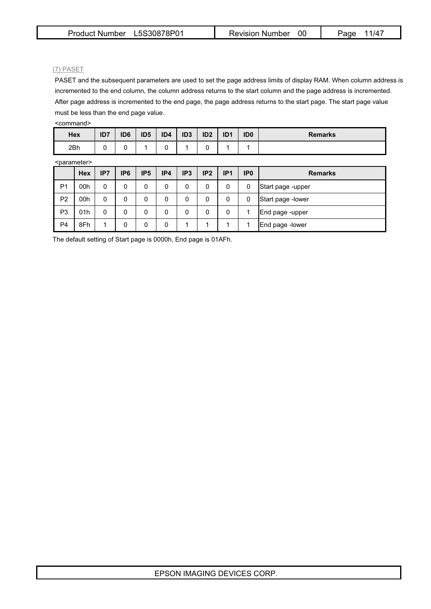#### (7) PASET

PASET and the subsequent parameters are used to set the page address limits of display RAM. When column address is incremented to the end column, the column address returns to the start column and the page address is incremented. After page address is incremented to the end page, the page address returns to the start page. The start page value must be less than the end page value.

| <command/> |
|------------|
|------------|

| Hex | 1 <sub>D</sub> 7<br>ושו | ID <sub>6</sub> | ID <sub>5</sub> | ID4 | ID <sub>3</sub> | ID <sub>2</sub> | ID <sub>1</sub> | ID <sub>0</sub> | <b>Remarks</b> |
|-----|-------------------------|-----------------|-----------------|-----|-----------------|-----------------|-----------------|-----------------|----------------|
| 2Bh |                         |                 |                 |     |                 |                 |                 |                 |                |

<parameter>

|                | <parameter></parameter> |     |                 |                 |     |                 |                 |                 |                 |                    |  |  |  |
|----------------|-------------------------|-----|-----------------|-----------------|-----|-----------------|-----------------|-----------------|-----------------|--------------------|--|--|--|
|                | Hex                     | IP7 | IP <sub>6</sub> | IP <sub>5</sub> | IP4 | IP <sub>3</sub> | IP <sub>2</sub> | IP <sub>1</sub> | IP <sub>0</sub> | <b>Remarks</b>     |  |  |  |
| P <sub>1</sub> | 00h                     | 0   | 0               | 0               | 0   | 0               | 0               | 0               | 0               | Start page -upper  |  |  |  |
| P <sub>2</sub> | 00h                     | 0   | 0               | 0               | 0   | 0               | 0               | 0               | 0               | Start page - lower |  |  |  |
| P <sub>3</sub> | 01h                     | 0   | 0               | 0               | 0   | 0               | 0               | 0               |                 | End page -upper    |  |  |  |
| P <sub>4</sub> | 8Fh                     |     | 0               | 0               | 0   |                 |                 |                 |                 | End page -lower    |  |  |  |

The default setting of Start page is 0000h, End page is 01AFh.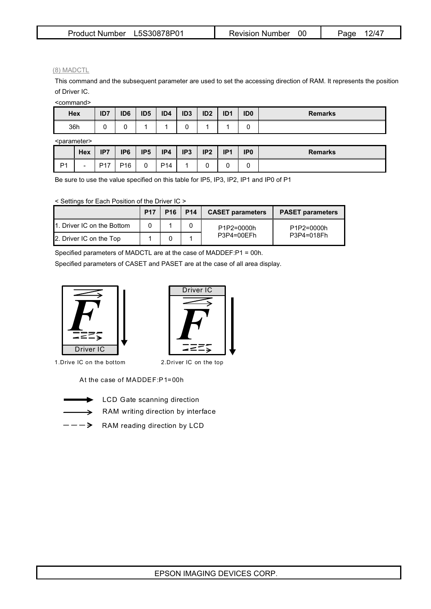| L5S30878P01           | 00                     | $12/4^-$ |
|-----------------------|------------------------|----------|
| <b>Product Number</b> | <b>Revision Number</b> | Paɑe     |

(8) MADCTL

This command and the subsequent parameter are used to set the accessing direction of RAM. It represents the position of Driver IC.

<command>

| Hex | ID7 | ID <sub>6</sub> | ID <sub>5</sub> | ID4 | ID <sub>3</sub> | ID <sub>2</sub> | ID <sub>1</sub> | ID <sub>0</sub> | <b>Remarks</b> |
|-----|-----|-----------------|-----------------|-----|-----------------|-----------------|-----------------|-----------------|----------------|
| 36h |     |                 |                 |     |                 |                 |                 | ັ               |                |

<parameter>

|                | Hex                      | ID7<br>         | IP <sub>6</sub> | IP <sub>5</sub> | IP4             | IP <sub>3</sub> | IP <sub>2</sub> | IP <sub>1</sub> | IP <sub>0</sub> | <b>Remarks</b> |
|----------------|--------------------------|-----------------|-----------------|-----------------|-----------------|-----------------|-----------------|-----------------|-----------------|----------------|
| D <sub>1</sub> | $\overline{\phantom{a}}$ | D <sub>17</sub> | P <sub>16</sub> |                 | P <sub>14</sub> |                 |                 |                 |                 |                |

Be sure to use the value specified on this table for IP5, IP3, IP2, IP1 and IP0 of P1

< Settings for Each Position of the Driver IC >

|                            | <b>P17</b> | $P16$   P14 | <b>CASET parameters</b> | <b>PASET parameters</b>  |  |
|----------------------------|------------|-------------|-------------------------|--------------------------|--|
| 1. Driver IC on the Bottom |            |             | P1P2=0000h              | P1P2=0000h<br>P3P4=018Fh |  |
| 2. Driver IC on the Top    |            |             | P3P4=00EFh              |                          |  |

Specified parameters of MADCTL are at the case of MADDEF:P1 = 00h.

Specified parameters of CASET and PASET are at the case of all area display.



1.Drive IC on the bottom



2.Driver IC on the top

At the case of MADDEF:P1=00h



RAM writing direction by interface LCD Gate scanning direction

 $\rightarrow$ 

 $---\rightarrow$  RAM reading direction by LCD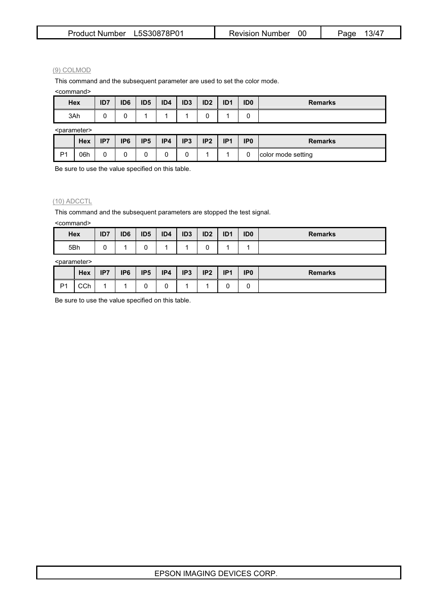| Product Number L5S30878P01 | Revision Number 00 | 13/47<br>Page |
|----------------------------|--------------------|---------------|
|----------------------------|--------------------|---------------|

#### (9) COLMOD

This command and the subsequent parameter are used to set the color mode.

<command>

| Hex | ID7 | ID <sub>6</sub> | ID <sub>5</sub> | ID4 | ID <sub>3</sub> | ID <sub>2</sub> | ID <sub>1</sub> | ID <sub>0</sub> | <b>Remarks</b> |
|-----|-----|-----------------|-----------------|-----|-----------------|-----------------|-----------------|-----------------|----------------|
| 3Ah |     | ັ               |                 |     |                 | ີ               |                 |                 |                |

<parameter>

| Nuaranicler <sup>2</sup> |            |     |                 |                 |     |                 |                 |                 |                 |                    |
|--------------------------|------------|-----|-----------------|-----------------|-----|-----------------|-----------------|-----------------|-----------------|--------------------|
|                          | <b>Hex</b> | IP7 | IP <sub>6</sub> | IP <sub>5</sub> | IP4 | IP <sub>3</sub> | IP <sub>2</sub> | ID <sub>1</sub> | IP <sub>0</sub> | <b>Remarks</b>     |
| D <sub>1</sub>           | 06h        |     |                 |                 |     | u               |                 |                 |                 | color mode setting |

Be sure to use the value specified on this table.

### (10) ADCCTL

This command and the subsequent parameters are stopped the test signal.

<command>

| Hex | ID <sub>7</sub> | ID <sub>6</sub> | ID <sub>5</sub> | ID4 | ID <sub>3</sub> | ID <sub>2</sub> | ID <sub>1</sub> | ID <sub>0</sub> | <b>Remarks</b> |
|-----|-----------------|-----------------|-----------------|-----|-----------------|-----------------|-----------------|-----------------|----------------|
| 5Bh |                 |                 | ∼               |     |                 | ╰               |                 |                 |                |

#### <parameter>

|                | <b>Hex</b>    | IP7 | IP <sub>6</sub> | IP <sub>5</sub> | IP4 | IP3 | IP2 | IP <sub>1</sub> | IP <sub>0</sub> | <b>Remarks</b> |
|----------------|---------------|-----|-----------------|-----------------|-----|-----|-----|-----------------|-----------------|----------------|
| D <sub>1</sub> | $\cap$<br>◡◡▯ |     |                 |                 |     |     |     |                 |                 |                |

Be sure to use the value specified on this table.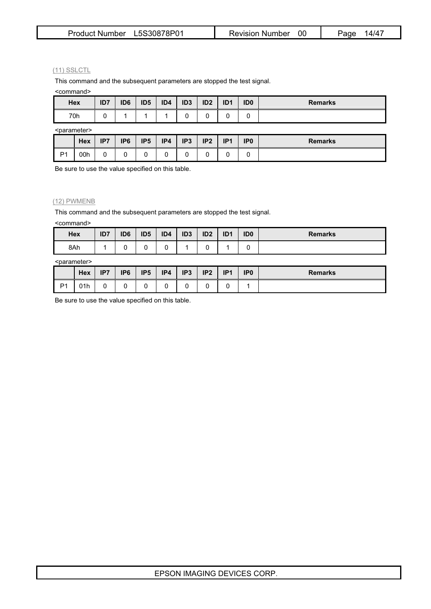| Product Number L5S30878P01 | Revision Number 00 | 14/47<br>Page |
|----------------------------|--------------------|---------------|
|----------------------------|--------------------|---------------|

#### (11) SSLCTL

This command and the subsequent parameters are stopped the test signal.

<command>

| Hex                     | ID7 | ID <sub>6</sub> | ID <sub>5</sub> | ID4 | ID <sub>3</sub> | ID <sub>2</sub> | ID <sub>1</sub> | ID <sub>0</sub> | <b>Remarks</b> |
|-------------------------|-----|-----------------|-----------------|-----|-----------------|-----------------|-----------------|-----------------|----------------|
| 70h                     |     |                 |                 |     | U               |                 |                 |                 |                |
| <narameter></narameter> |     |                 |                 |     |                 |                 |                 |                 |                |

<parameter>

| Nuarantou-     |            |     |                 |                 |     |                 |                 |                     |                 |                |
|----------------|------------|-----|-----------------|-----------------|-----|-----------------|-----------------|---------------------|-----------------|----------------|
|                | <b>Hex</b> | IP7 | IP <sub>6</sub> | IP <sub>5</sub> | IP4 | IP <sub>3</sub> | IP <sub>2</sub> | ID <sub>1</sub><br> | IP <sub>0</sub> | <b>Remarks</b> |
| D <sub>1</sub> | 00h        |     |                 |                 |     |                 |                 |                     |                 |                |

Be sure to use the value specified on this table.

### (12) PWMENB

This command and the subsequent parameters are stopped the test signal.

<command>

| Hex | ID7 | ID <sub>6</sub> | ID <sub>5</sub> | ID4 | ID <sub>3</sub> | ID <sub>2</sub> | ID <sub>1</sub> | ID <sub>0</sub> | <b>Remarks</b> |
|-----|-----|-----------------|-----------------|-----|-----------------|-----------------|-----------------|-----------------|----------------|
| 8Ah |     |                 |                 |     |                 | $\sim$          |                 | ∼               |                |

#### <parameter>

|                | Hex | IP7 | IP <sub>6</sub> | IP <sub>5</sub> | IP4 | IP <sub>3</sub> | IP2 | IP <sub>1</sub> | IP <sub>0</sub> | <b>Remarks</b> |
|----------------|-----|-----|-----------------|-----------------|-----|-----------------|-----|-----------------|-----------------|----------------|
| P <sub>1</sub> | 01h | ັ   |                 | ∼               |     | ∽               | ∼   |                 |                 |                |

Be sure to use the value specified on this table.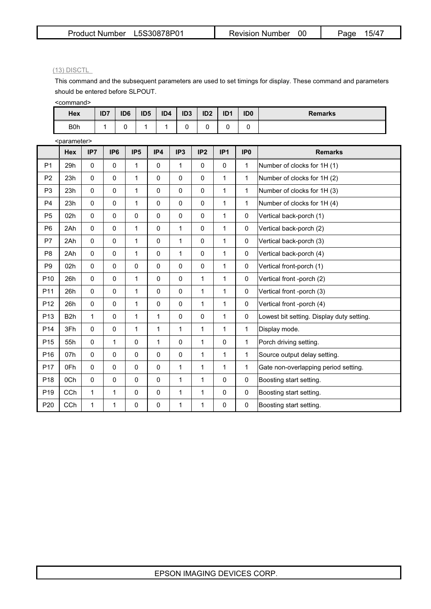### (13) DISCTL

This command and the subsequent parameters are used to set timings for display. These command and parameters should be entered before SLPOUT.

<command>

| <b>Hex</b>       | ID7 | ID <sub>6</sub> | ID <sub>5</sub> | ID4 | ID <sub>3</sub> | ID <sub>2</sub> | ID <sub>1</sub> | ID <sub>0</sub> | <b>Remarks</b> |
|------------------|-----|-----------------|-----------------|-----|-----------------|-----------------|-----------------|-----------------|----------------|
| B <sub>0</sub> h |     |                 |                 |     | ∼               | ັ               | ີ               | ີ               |                |

|                 | <parameter></parameter> |              |                 |                 |              |                 |     |                 |                 |                                           |
|-----------------|-------------------------|--------------|-----------------|-----------------|--------------|-----------------|-----|-----------------|-----------------|-------------------------------------------|
|                 | <b>Hex</b>              | IP7          | IP <sub>6</sub> | IP <sub>5</sub> | IP4          | IP <sub>3</sub> | IP2 | IP <sub>1</sub> | IP <sub>0</sub> | <b>Remarks</b>                            |
| P <sub>1</sub>  | 29h                     | $\mathbf{0}$ | 0               | 1               | $\mathbf{0}$ | 1               | 0   | $\Omega$        | $\mathbf{1}$    | Number of clocks for 1H (1)               |
| P <sub>2</sub>  | 23h                     | $\mathbf{0}$ | $\Omega$        | $\mathbf{1}$    | $\mathbf{0}$ | $\mathbf 0$     | 0   | 1               | $\mathbf{1}$    | Number of clocks for 1H (2)               |
| P <sub>3</sub>  | 23h                     | $\mathbf{0}$ | $\mathbf{0}$    | $\mathbf{1}$    | 0            | 0               | 0   | 1               | 1               | Number of clocks for 1H (3)               |
| P <sub>4</sub>  | 23h                     | $\mathbf{0}$ | $\mathbf{0}$    | 1               | $\mathbf{0}$ | 0               | 0   | 1               | 1               | Number of clocks for 1H (4)               |
| P <sub>5</sub>  | 02h                     | $\mathbf{0}$ | 0               | $\mathbf 0$     | $\mathbf{0}$ | 0               | 0   | 1               | 0               | Vertical back-porch (1)                   |
| P <sub>6</sub>  | 2Ah                     | $\mathbf{0}$ | $\Omega$        | 1               | $\mathbf{0}$ | 1               | 0   | 1               | $\mathbf{0}$    | Vertical back-porch (2)                   |
| P7              | 2Ah                     | $\mathbf{0}$ | $\Omega$        | $\mathbf{1}$    | $\mathbf{0}$ | $\mathbf{1}$    | 0   | 1               | 0               | Vertical back-porch (3)                   |
| P <sub>8</sub>  | 2Ah                     | $\mathbf{0}$ | 0               | $\mathbf{1}$    | $\mathbf{0}$ | $\mathbf{1}$    | 0   | $\mathbf{1}$    | 0               | Vertical back-porch (4)                   |
| P <sub>9</sub>  | 02h                     | $\pmb{0}$    | 0               | $\mathbf 0$     | $\mathbf{0}$ | $\mathbf 0$     | 0   | $\mathbf{1}$    | 0               | Vertical front-porch (1)                  |
| P <sub>10</sub> | 26h                     | $\mathbf{0}$ | 0               | $\mathbf{1}$    | $\mathbf 0$  | $\mathbf 0$     | 1   | $\mathbf{1}$    | 0               | Vertical front -porch (2)                 |
| P11             | 26h                     | $\mathbf{0}$ | 0               | $\mathbf{1}$    | $\pmb{0}$    | $\mathbf 0$     | 1   | $\mathbf{1}$    | 0               | Vertical front -porch (3)                 |
| P <sub>12</sub> | 26h                     | $\mathbf{0}$ | 0               | 1               | $\pmb{0}$    | $\mathbf 0$     | 1   | 1               | 0               | Vertical front -porch (4)                 |
| P <sub>13</sub> | B <sub>2</sub> h        | $\mathbf{1}$ | $\mathbf{0}$    | $\mathbf{1}$    | 1            | $\mathbf 0$     | 0   | 1               | 0               | Lowest bit setting. Display duty setting. |
| P <sub>14</sub> | 3Fh                     | $\pmb{0}$    | 0               | 1               | 1            | 1               | 1   | 1               | 1               | Display mode.                             |
| P <sub>15</sub> | 55h                     | $\mathbf{0}$ | 1               | $\pmb{0}$       | 1            | $\mathbf{0}$    | 1   | $\mathbf 0$     | $\mathbf{1}$    | Porch driving setting.                    |
| P <sub>16</sub> | 07 <sub>h</sub>         | $\mathbf{0}$ | 0               | $\mathbf{0}$    | $\mathbf{0}$ | $\mathbf{0}$    | 1   | 1               | 1               | Source output delay setting.              |
| P <sub>17</sub> | 0Fh                     | $\mathbf{0}$ | $\mathbf{0}$    | $\mathbf 0$     | $\mathbf{0}$ | $\mathbf{1}$    | 1   | 1               | $\mathbf{1}$    | Gate non-overlapping period setting.      |
| P <sub>18</sub> | 0Ch                     | $\mathbf{0}$ | 0               | $\mathbf 0$     | $\pmb{0}$    | 1               | 1   | 0               | 0               | Boosting start setting.                   |
| P <sub>19</sub> | <b>CCh</b>              | $\mathbf{1}$ | 1               | $\pmb{0}$       | $\mathbf{0}$ | $\mathbf{1}$    | 1   | 0               | 0               | Boosting start setting.                   |
| P <sub>20</sub> | CCh                     | 1            | 1               | 0               | 0            | 1               | 1   | 0               | 0               | Boosting start setting.                   |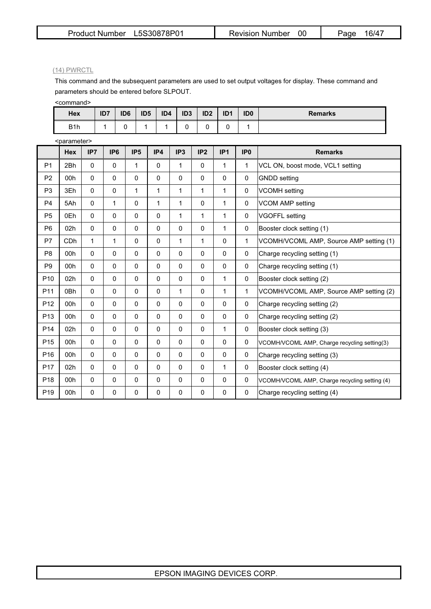#### (14) PWRCTL

This command and the subsequent parameters are used to set output voltages for display. These command and parameters should be entered before SLPOUT.

<command>

| Hex              | ID7 | ID <sub>6</sub> | ID <sub>5</sub> | ID4 | ID <sub>3</sub> | ID <sub>2</sub> | ID <sub>1</sub> | ID <sub>0</sub> | <b>Remarks</b> |
|------------------|-----|-----------------|-----------------|-----|-----------------|-----------------|-----------------|-----------------|----------------|
| B <sub>1</sub> h |     |                 |                 |     |                 |                 |                 |                 |                |

|                 | <parameter></parameter> |              |                 |                 |              |                 |             |              |                 |                                               |
|-----------------|-------------------------|--------------|-----------------|-----------------|--------------|-----------------|-------------|--------------|-----------------|-----------------------------------------------|
|                 | <b>Hex</b>              | IP7          | IP <sub>6</sub> | IP <sub>5</sub> | IP4          | IP <sub>3</sub> | IP2         | IP1          | IP <sub>0</sub> | <b>Remarks</b>                                |
| P <sub>1</sub>  | 2Bh                     | $\mathbf{0}$ | $\Omega$        | $\mathbf{1}$    | $\pmb{0}$    | 1               | 0           | 1            | 1               | VCL ON, boost mode, VCL1 setting              |
| P <sub>2</sub>  | 00h                     | $\mathbf{0}$ | 0               | $\mathbf 0$     | $\mathbf{0}$ | $\mathbf{0}$    | 0           | $\Omega$     | 0               | <b>GNDD</b> setting                           |
| P <sub>3</sub>  | 3Eh                     | $\mathbf{0}$ | 0               | $\mathbf{1}$    | $\mathbf{1}$ | $\mathbf{1}$    | 1           | 1            | 0               | <b>VCOMH</b> setting                          |
| P <sub>4</sub>  | 5Ah                     | $\mathbf{0}$ | 1               | $\mathbf 0$     | 1            | 1               | 0           | 1            | 0               | <b>VCOM AMP setting</b>                       |
| P <sub>5</sub>  | 0Eh                     | $\mathbf{0}$ | 0               | $\mathbf 0$     | $\mathbf{0}$ | 1               | 1           | 1            | 0               | <b>VGOFFL</b> setting                         |
| P <sub>6</sub>  | 02h                     | $\mathbf{0}$ | $\Omega$        | $\mathbf 0$     | $\mathbf{0}$ | $\Omega$        | 0           | $\mathbf{1}$ | 0               | Booster clock setting (1)                     |
| P7              | C <sub>D</sub> h        | $\mathbf{1}$ | 1               | $\mathbf 0$     | $\mathbf{0}$ | 1               | 1           | 0            | 1               | VCOMH/VCOML AMP, Source AMP setting (1)       |
| P <sub>8</sub>  | 00h                     | $\mathbf{0}$ | 0               | $\mathbf{0}$    | $\mathbf{0}$ | $\Omega$        | 0           | 0            | $\mathbf{0}$    | Charge recycling setting (1)                  |
| P <sub>9</sub>  | 00h                     | $\mathbf{0}$ | $\mathbf 0$     | $\mathbf 0$     | $\mathbf{0}$ | $\mathbf 0$     | 0           | $\mathbf 0$  | 0               | Charge recycling setting (1)                  |
| P <sub>10</sub> | 02h                     | $\mathbf{0}$ | $\Omega$        | $\mathbf{0}$    | 0            | $\Omega$        | 0           | 1            | $\mathbf{0}$    | Booster clock setting (2)                     |
| P <sub>11</sub> | 0 <sub>Bh</sub>         | $\mathbf{0}$ | 0               | $\mathbf 0$     | $\mathbf{0}$ | 1               | 0           | 1            | 1               | VCOMH/VCOML AMP, Source AMP setting (2)       |
| P <sub>12</sub> | 00h                     | $\mathbf{0}$ | $\mathbf 0$     | $\mathbf 0$     | $\mathbf{0}$ | $\mathbf{0}$    | $\Omega$    | $\mathbf{0}$ | 0               | Charge recycling setting (2)                  |
| P <sub>13</sub> | 00 <sub>h</sub>         | $\mathbf{0}$ | 0               | $\mathbf{0}$    | $\mathbf{0}$ | 0               | 0           | $\mathbf{0}$ | $\mathbf{0}$    | Charge recycling setting (2)                  |
| P <sub>14</sub> | 02 <sub>h</sub>         | $\mathbf{0}$ | 0               | $\mathbf 0$     | 0            | 0               | 0           | 1            | 0               | Booster clock setting (3)                     |
| P <sub>15</sub> | 00h                     | $\pmb{0}$    | 0               | $\mathbf 0$     | $\mathbf 0$  | $\mathbf 0$     | $\pmb{0}$   | $\mathbf 0$  | 0               | VCOMH/VCOML AMP, Charge recycling setting(3)  |
| P <sub>16</sub> | 00h                     | $\mathbf{0}$ | 0               | $\mathbf 0$     | $\mathbf{0}$ | $\mathbf 0$     | 0           | $\mathbf 0$  | 0               | Charge recycling setting (3)                  |
| P <sub>17</sub> | 02h                     | $\mathbf{0}$ | 0               | $\mathbf 0$     | $\mathbf 0$  | $\mathbf 0$     | 0           | 1            | 0               | Booster clock setting (4)                     |
| P <sub>18</sub> | 00h                     | $\mathbf{0}$ | 0               | $\mathbf 0$     | $\mathbf{0}$ | $\mathbf 0$     | $\mathbf 0$ | $\mathbf 0$  | 0               | VCOMH/VCOML AMP, Charge recycling setting (4) |
| P <sub>19</sub> | 00h                     | $\mathbf 0$  | 0               | 0               | 0            | 0               | 0           | 0            | 0               | Charge recycling setting (4)                  |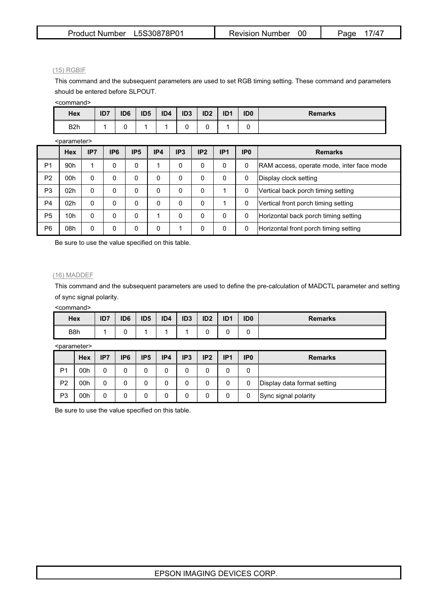#### (15) RGBIF

This command and the subsequent parameters are used to set RGB timing setting. These command and parameters should be entered before SLPOUT.

<command>

| <b>Hex</b>       | ID7 | ID <sub>6</sub> | ID <sub>5</sub> | ID4 | ID <sub>3</sub> | ID <sub>2</sub> | ID <sub>1</sub> | ID <sub>0</sub> | <b>Remarks</b> |
|------------------|-----|-----------------|-----------------|-----|-----------------|-----------------|-----------------|-----------------|----------------|
| B <sub>2</sub> h |     |                 |                 |     |                 |                 |                 |                 |                |

<parameter>

|                | Nuala∏lclcl∽    |          |                 |                 |     |     |     |                 |                 |                                            |  |  |  |  |
|----------------|-----------------|----------|-----------------|-----------------|-----|-----|-----|-----------------|-----------------|--------------------------------------------|--|--|--|--|
|                | <b>Hex</b>      | IP7      | IP <sub>6</sub> | IP <sub>5</sub> | IP4 | IP3 | IP2 | IP <sub>1</sub> | IP <sub>0</sub> | <b>Remarks</b>                             |  |  |  |  |
| P1             | 90 <sub>h</sub> |          | 0               | 0               |     | 0   | 0   | 0               | 0               | [RAM access, operate mode, inter face mode |  |  |  |  |
| P <sub>2</sub> | 00h             | 0        | 0               | 0               | 0   | 0   | 0   | 0               | 0               | Display clock setting                      |  |  |  |  |
| P <sub>3</sub> | 02 <sub>h</sub> | 0        | 0               | 0               | 0   | 0   | 0   |                 | 0               | Vertical back porch timing setting         |  |  |  |  |
| P <sub>4</sub> | 02 <sub>h</sub> | 0        | 0               | 0               | 0   | 0   | 0   |                 | 0               | Vertical front porch timing setting        |  |  |  |  |
| P <sub>5</sub> | 10 <sub>h</sub> | $\Omega$ | 0               | 0               |     | 0   | 0   | 0               | 0               | Horizontal back porch timing setting       |  |  |  |  |
| P <sub>6</sub> | 08h             | 0        | 0               | 0               | 0   |     | 0   | 0               | 0               | Horizontal front porch timing setting      |  |  |  |  |

Be sure to use the value specified on this table.

#### (16) MADDEF

This command and the subsequent parameters are used to define the pre-calculation of MADCTL parameter and setting of sync signal polarity.

<command>

| Hex              | ID7 | ID <sub>6</sub> | ID <sub>5</sub> | ID4 | ID <sub>3</sub> | ID <sub>2</sub> | ID <sub>1</sub> | ID <sub>0</sub> | <b>Remarks</b> |
|------------------|-----|-----------------|-----------------|-----|-----------------|-----------------|-----------------|-----------------|----------------|
| B <sub>8</sub> h |     |                 |                 |     |                 |                 |                 |                 |                |

<parameter>

|                | Hex | IP7 | IP <sub>6</sub> | IP <sub>5</sub> | IP4 | IP <sub>3</sub> | IP <sub>2</sub> | IP <sub>1</sub> | IP <sub>0</sub> | <b>Remarks</b>              |
|----------------|-----|-----|-----------------|-----------------|-----|-----------------|-----------------|-----------------|-----------------|-----------------------------|
| P <sub>1</sub> | 00h | 0   | 0               |                 |     | 0               |                 |                 |                 |                             |
| P <sub>2</sub> | 00h | 0   | 0               |                 | 0   | 0               | 0               |                 | 0               | Display data format setting |
| P <sub>3</sub> | 00h | 0   | 0               |                 | 0   | 0               |                 |                 |                 | Sync signal polarity        |

Be sure to use the value specified on this table.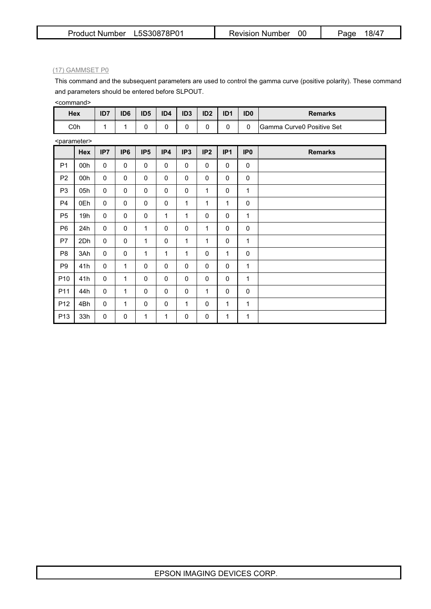#### (17) GAMMSET P0

This command and the subsequent parameters are used to control the gamma curve (positive polarity). These command and parameters should be entered before SLPOUT.

<command>

| Hex | ID7 | ID6 | ID <sub>5</sub> | ID4 | ID <sub>3</sub> | ID <sub>2</sub> | ID <sub>1</sub> | ID <sub>0</sub> | <b>Remarks</b>            |
|-----|-----|-----|-----------------|-----|-----------------|-----------------|-----------------|-----------------|---------------------------|
| C0h |     |     |                 |     |                 |                 |                 | $\sqrt{2}$      | Gamma Curve0 Positive Set |

<parameter>

|                 | Hex | IP7              | IP <sub>6</sub> | IP <sub>5</sub> | IP4         | IP <sub>3</sub> | IP2         | IP <sub>1</sub> | IP <sub>0</sub> | <b>Remarks</b> |
|-----------------|-----|------------------|-----------------|-----------------|-------------|-----------------|-------------|-----------------|-----------------|----------------|
| P <sub>1</sub>  | 00h | $\mathbf 0$      | 0               | $\mathbf{0}$    | $\Omega$    | 0               | $\mathbf 0$ | $\mathbf 0$     | $\pmb{0}$       |                |
| P <sub>2</sub>  | 00h | $\mathbf 0$      | $\mathbf 0$     | $\mathbf{0}$    | $\Omega$    | 0               | $\mathbf 0$ | $\Omega$        | $\mathbf 0$     |                |
| P <sub>3</sub>  | 05h | 0                | 0               | $\mathbf 0$     | $\mathbf 0$ | 0               | 1           | 0               | 1               |                |
| P <sub>4</sub>  | 0Eh | $\mathbf 0$      | 0               | $\mathbf 0$     | $\mathbf 0$ | 1               | 1           | 1               | $\mathbf 0$     |                |
| P <sub>5</sub>  | 19h | $\boldsymbol{0}$ | 0               | $\mathbf 0$     | 1           | 1               | $\mathbf 0$ | $\mathbf{0}$    | 1               |                |
| P <sub>6</sub>  | 24h | $\mathbf 0$      | 0               | $\mathbf{1}$    | $\Omega$    | 0               | 1           | $\Omega$        | 0               |                |
| P7              | 2Dh | $\mathbf 0$      | $\mathbf 0$     | $\mathbf{1}$    | $\mathbf 0$ | 1               | 1           | 0               | 1               |                |
| P <sub>8</sub>  | 3Ah | $\mathbf 0$      | 0               | 1               | 1           | 1               | $\mathbf 0$ | 1               | $\mathbf 0$     |                |
| P <sub>9</sub>  | 41h | 0                | 1               | $\mathbf{0}$    | $\Omega$    | 0               | $\mathbf 0$ | $\Omega$        | 1               |                |
| P10             | 41h | $\mathbf 0$      | $\mathbf{1}$    | $\mathbf{0}$    | $\Omega$    | 0               | $\mathbf 0$ | $\Omega$        | 1               |                |
| P11             | 44h | $\mathbf 0$      | 1               | $\mathbf 0$     | $\mathbf 0$ | 0               | 1           | 0               | $\mathbf 0$     |                |
| P12             | 4Bh | $\mathbf 0$      | 1               | $\mathbf 0$     | $\mathbf 0$ | 1               | $\mathbf 0$ | $\mathbf{1}$    | 1               |                |
| P <sub>13</sub> | 33h | 0                | 0               | $\mathbf{1}$    | 1           | 0               | 0           | 1               | 1               |                |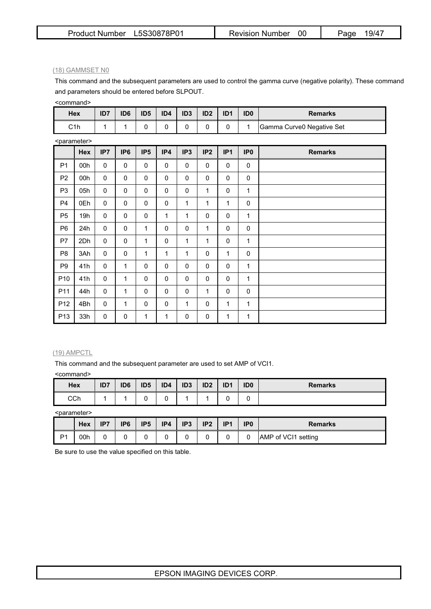#### (18) GAMMSET N0

This command and the subsequent parameters are used to control the gamma curve (negative polarity). These command and parameters should be entered before SLPOUT.

<command>

| Hex | ID7 | ID6 | ID <sub>5</sub> | ID4 | ID <sub>3</sub> | ID <sub>2</sub> | ID <sub>1</sub> | ID <sub>0</sub> | <b>Remarks</b>            |
|-----|-----|-----|-----------------|-----|-----------------|-----------------|-----------------|-----------------|---------------------------|
| C1h |     |     |                 |     |                 |                 |                 |                 | Gamma Curve0 Negative Set |

<parameter>

|                 | Hex | IP7         | IP <sub>6</sub> | IP <sub>5</sub> | IP4          | IP <sub>3</sub> | IP <sub>2</sub> | IP <sub>1</sub> | IP <sub>0</sub> | <b>Remarks</b> |
|-----------------|-----|-------------|-----------------|-----------------|--------------|-----------------|-----------------|-----------------|-----------------|----------------|
| P <sub>1</sub>  | 00h | $\Omega$    | $\mathbf 0$     | $\mathbf{0}$    | $\mathbf{0}$ | $\mathbf 0$     | $\pmb{0}$       | $\mathbf{0}$    | $\mathbf 0$     |                |
| P <sub>2</sub>  | 00h | $\mathbf 0$ | $\mathbf 0$     | $\mathbf 0$     | $\mathbf 0$  | $\mathbf 0$     | $\mathbf 0$     | $\mathbf 0$     | $\mathbf 0$     |                |
| P <sub>3</sub>  | 05h | $\mathbf 0$ | $\mathbf 0$     | $\mathbf 0$     | $\mathbf 0$  | 0               | 1               | $\Omega$        | 1               |                |
| P4              | 0Eh | $\mathbf 0$ | $\mathbf 0$     | $\mathbf{0}$    | $\mathbf 0$  | 1               | 1               | 1               | $\mathbf 0$     |                |
| P <sub>5</sub>  | 19h | $\mathbf 0$ | $\mathbf 0$     | $\mathbf 0$     | $\mathbf{1}$ | 1               | $\mathbf 0$     | $\mathbf 0$     | 1               |                |
| P <sub>6</sub>  | 24h | $\mathbf 0$ | $\mathbf 0$     | 1               | $\mathbf 0$  | $\mathbf 0$     | 1               | $\Omega$        | $\mathbf 0$     |                |
| P7              | 2Dh | $\mathbf 0$ | $\mathbf 0$     | 1               | $\mathbf 0$  | 1               | 1               | $\mathbf{0}$    | 1               |                |
| P <sub>8</sub>  | 3Ah | $\mathbf 0$ | $\mathbf 0$     | 1               | 1            | 1               | $\mathbf 0$     | 1               | $\mathbf 0$     |                |
| P <sub>9</sub>  | 41h | $\mathbf 0$ | 1               | $\mathbf{0}$    | $\mathbf 0$  | $\mathbf 0$     | $\mathbf 0$     | $\mathbf{0}$    | 1               |                |
| P <sub>10</sub> | 41h | $\mathbf 0$ | 1               | $\mathbf 0$     | $\mathbf 0$  | $\mathbf 0$     | $\mathbf 0$     | $\mathbf 0$     | $\mathbf{1}$    |                |
| P11             | 44h | $\mathbf 0$ | 1               | $\mathbf{0}$    | $\mathbf 0$  | $\mathbf 0$     | 1               | $\mathbf{0}$    | $\mathbf 0$     |                |
| P <sub>12</sub> | 4Bh | $\mathbf 0$ | 1               | $\mathbf{0}$    | 0            | 1               | $\mathbf 0$     | 1               | 1               |                |
| P <sub>13</sub> | 33h | 0           | 0               | 1               | 1            | 0               | 0               | 1               | 1               |                |

#### (19) AMPCTL

This command and the subsequent parameter are used to set AMP of VCI1.

<command>

| Hex | ID7 | ID <sub>6</sub> | ID <sub>5</sub> | ID4 | ID <sub>3</sub> | ID <sub>2</sub> | ID <sup>1</sup> | ID <sub>0</sub> | <b>Remarks</b> |
|-----|-----|-----------------|-----------------|-----|-----------------|-----------------|-----------------|-----------------|----------------|
| CCh |     |                 |                 |     |                 |                 |                 | ີ               |                |

<parameter>

|                | Hex | IP7 | IP <sub>6</sub> | IP <sub>5</sub> | IP4 | IP <sub>3</sub> | IP <sub>2</sub> | ID <sub>1</sub> | IP <sub>0</sub> | Remarks             |
|----------------|-----|-----|-----------------|-----------------|-----|-----------------|-----------------|-----------------|-----------------|---------------------|
| P <sub>1</sub> | 00h |     |                 |                 |     | ີ               |                 |                 |                 | AMP of VCI1 setting |

Be sure to use the value specified on this table.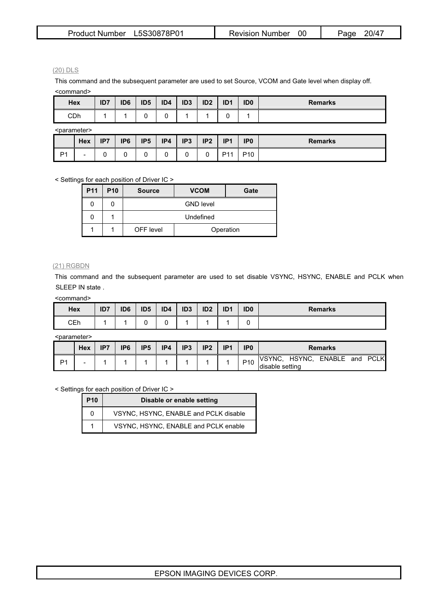| Product Number L5S30878P01 | <b>Revision Number</b> | 20/47<br>Page |
|----------------------------|------------------------|---------------|
|----------------------------|------------------------|---------------|

(20) DLS

This command and the subsequent parameter are used to set Source, VCOM and Gate level when display off. <command>

| Hex                     |     | ID <sub>7</sub> | ID <sub>6</sub> | ID <sub>5</sub> | ID4 | ID <sub>3</sub> | ID <sub>2</sub> | ID <sub>1</sub> | ID <sub>0</sub> | <b>Remarks</b> |
|-------------------------|-----|-----------------|-----------------|-----------------|-----|-----------------|-----------------|-----------------|-----------------|----------------|
| CDh                     |     |                 |                 |                 |     |                 |                 |                 |                 |                |
| <parameter></parameter> |     |                 |                 |                 |     |                 |                 |                 |                 |                |
|                         | Hex | IP7             | IP <sub>6</sub> | IP <sub>5</sub> | IP4 | IP <sub>3</sub> | IP <sub>2</sub> | IP <sub>1</sub> | IP <sub>0</sub> | <b>Remarks</b> |

< Settings for each position of Driver IC >

| <b>P11</b> | P <sub>10</sub> | <b>Source</b> | <b>VCOM</b>      | Gate |
|------------|-----------------|---------------|------------------|------|
|            |                 |               | <b>GND level</b> |      |
|            |                 |               | Undefined        |      |
|            |                 | OFF level     | Operation        |      |

P1 | - | 0 | 0 | 0 | 0 | 0 | 0 | P11 | P10 |

#### (21) RGBDN

This command and the subsequent parameter are used to set disable VSYNC, HSYNC, ENABLE and PCLK when SLEEP IN state .

<command>

| Hex | ID7 | ID <sub>6</sub> | ID <sub>5</sub> | ID4 | ID <sub>3</sub> | ID <sub>2</sub> | ID <sub>1</sub> | ID <sub>0</sub> | <b>Remarks</b> |
|-----|-----|-----------------|-----------------|-----|-----------------|-----------------|-----------------|-----------------|----------------|
| CEh |     |                 | ∼               |     |                 |                 |                 |                 |                |

<parameter>

|    | Hex | IP7 | IP6 | IP <sub>5</sub> | IP4 | IP <sub>3</sub> | IP <sub>2</sub> | ID <sub>1</sub> | IP <sub>0</sub> | <b>Remarks</b>                                           |  |  |  |
|----|-----|-----|-----|-----------------|-----|-----------------|-----------------|-----------------|-----------------|----------------------------------------------------------|--|--|--|
| D1 | -   |     |     |                 |     |                 |                 |                 | P <sub>10</sub> | ENABLE and PCLK<br>IVSYNC.<br>HSYNC,<br>Idisable setting |  |  |  |

< Settings for each position of Driver IC >

| <b>P10</b> | Disable or enable setting             |
|------------|---------------------------------------|
| 0          | VSYNC, HSYNC, ENABLE and PCLK disable |
|            | VSYNC, HSYNC, ENABLE and PCLK enable  |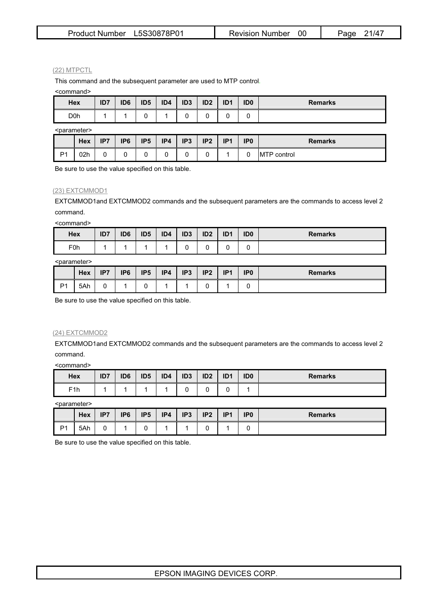| Product Number L5S30878P01 | Revision Number | 21/47<br>Page |
|----------------------------|-----------------|---------------|
|----------------------------|-----------------|---------------|

#### (22) MTPCTL

This command and the subsequent parameter are used to MTP control.

<command>

| Hex              | ID7 | ID <sub>6</sub> | ID <sub>5</sub> | ID4 | ID <sub>3</sub> | ID <sub>2</sub> | ID <sub>1</sub> | ID <sub>0</sub> | <b>Remarks</b> |
|------------------|-----|-----------------|-----------------|-----|-----------------|-----------------|-----------------|-----------------|----------------|
| D <sub>0</sub> h |     |                 | ີ               |     |                 |                 |                 |                 |                |

<parameter>

|                | <b>Hex</b> | ID7<br> | IP <sub>6</sub> | IP <sub>5</sub> | IP4 | IP <sub>3</sub> | IP <sub>2</sub> | ID <sub>1</sub><br> | IP <sub>0</sub> | <b>Remarks</b>      |
|----------------|------------|---------|-----------------|-----------------|-----|-----------------|-----------------|---------------------|-----------------|---------------------|
| D <sub>4</sub> | 02h        |         |                 |                 |     |                 |                 |                     |                 | 「P control」<br>IM I |

Be sure to use the value specified on this table.

### (23) EXTCMMOD1

EXTCMMOD1and EXTCMMOD2 commands and the subsequent parameters are the commands to access level 2 command.

<command>

| Hex              | ID7 | ID <sub>6</sub> | ID <sub>5</sub> | ID4 | ID <sub>3</sub> | ID <sub>2</sub> | ID <sub>1</sub> | ID <sub>0</sub> | <b>Remarks</b> |
|------------------|-----|-----------------|-----------------|-----|-----------------|-----------------|-----------------|-----------------|----------------|
| F <sub>0</sub> h |     |                 |                 |     |                 | ∼               |                 |                 |                |

<parameter>

|                | <b>Hex</b> | IP7 | IP <sub>6</sub> | IP <sub>5</sub> | IP4 | IP <sub>3</sub> | IP <sub>2</sub> | IP <sub>1</sub> | IP <sub>0</sub> | <b>Remarks</b> |
|----------------|------------|-----|-----------------|-----------------|-----|-----------------|-----------------|-----------------|-----------------|----------------|
| D <sub>1</sub> | 5Ah        | ∼   |                 | ັ               |     |                 |                 |                 | ∼               |                |

Be sure to use the value specified on this table.

#### (24) EXTCMMOD2

EXTCMMOD1and EXTCMMOD2 commands and the subsequent parameters are the commands to access level 2 command.

<command>

| Hex              | ID7 | ID <sub>6</sub> | ID <sub>5</sub> | ID4 | ID <sub>3</sub> | ID <sub>2</sub> | ID <sub>1</sub> | ID <sub>0</sub> | <b>Remarks</b> |
|------------------|-----|-----------------|-----------------|-----|-----------------|-----------------|-----------------|-----------------|----------------|
| F <sub>1</sub> h |     |                 |                 |     |                 |                 |                 |                 |                |

<parameter>

|                | <b>Hex</b> | IP7 | IP <sub>6</sub> | IP <sub>5</sub> | IP4 | IP <sub>3</sub> | IP <sub>2</sub> | IP1 | IP <sub>0</sub> | <b>Remarks</b> |
|----------------|------------|-----|-----------------|-----------------|-----|-----------------|-----------------|-----|-----------------|----------------|
| D <sub>1</sub> | 5Ah        |     |                 |                 |     |                 |                 |     |                 |                |

Be sure to use the value specified on this table.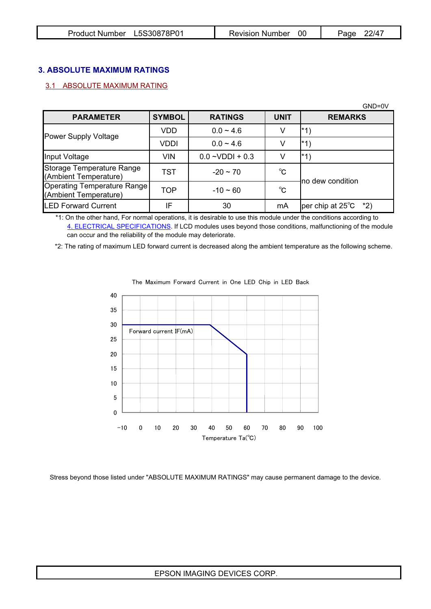| Product Number L5S30878P01 |  | Revision Number 00 |  | 22/47<br>Page |
|----------------------------|--|--------------------|--|---------------|
|----------------------------|--|--------------------|--|---------------|

# **3. ABSOLUTE MAXIMUM RATINGS**

# 3.1 ABSOLUTE MAXIMUM RATING

|                                                      |               |                    |              | $GND=0V$                         |
|------------------------------------------------------|---------------|--------------------|--------------|----------------------------------|
| <b>PARAMETER</b>                                     | <b>SYMBOL</b> | <b>RATINGS</b>     | <b>UNIT</b>  | <b>REMARKS</b>                   |
| Power Supply Voltage                                 | VDD           | $0.0 - 4.6$        |              | l*1)                             |
|                                                      | VDDI          | $0.0 - 4.6$        |              | l*1)                             |
| Input Voltage                                        | <b>VIN</b>    | $0.0 - VDDI + 0.3$ |              | l*1)                             |
| Storage Temperature Range<br>(Ambient Temperature)   | TST           | $-20 - 70$         | $^{\circ}$ C | lno dew condition                |
| Operating Temperature Range<br>(Ambient Temperature) | <b>TOP</b>    | $-10 - 60$         | $^{\circ}$ C |                                  |
| <b>LED Forward Current</b>                           | IF            | 30                 | mA           | per chip at $25^{\circ}$ C $*2)$ |

 \*1: On the other hand, For normal operations, it is desirable to use this module under the conditions according to 4. ELECTRICAL SPECIFICATIONS. If LCD modules uses beyond those conditions, malfunctioning of the module can occur and the reliability of the module may deteriorate.

\*2: The rating of maximum LED forward current is decreased along the ambient temperature as the following scheme.



The Maximum Forward Current in One LED Chip in LED Back

Stress beyond those listed under "ABSOLUTE MAXIMUM RATINGS" may cause permanent damage to the device.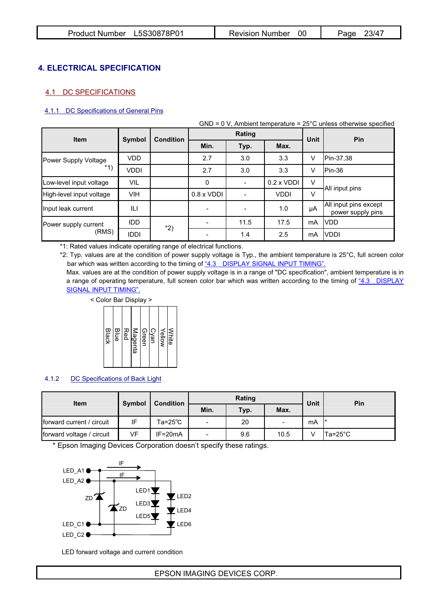# **4. ELECTRICAL SPECIFICATION**

# 4.1 DC SPECIFICATIONS

### 4.1.1 DC Specifications of General Pins

|                          |               |                  |                   |        |                   |        | $GND = 0 V$ , Ambient temperature = 25 $^{\circ}$ C unless otherwise specified |
|--------------------------|---------------|------------------|-------------------|--------|-------------------|--------|--------------------------------------------------------------------------------|
| <b>Item</b>              | <b>Symbol</b> | <b>Condition</b> |                   | Rating |                   | Unit   | <b>Pin</b>                                                                     |
|                          |               |                  | Min.              | Typ.   | Max.              |        |                                                                                |
| Power Supply Voltage     | VDD           |                  | 2.7               | 3.0    | 3.3               | V      | Pin-37,38                                                                      |
| $*1)$                    | VDDI          |                  | 2.7               | 3.0    | 3.3               | v      | Pin-36                                                                         |
| Low-level input voltage  | VIL           |                  | 0                 |        | $0.2 \times VDDI$ | V      | All input pins                                                                 |
| High-level input voltage | <b>VIH</b>    |                  | $0.8 \times VDDI$ |        | <b>VDDI</b>       | $\vee$ |                                                                                |
| Input leak current       | ILI           |                  |                   |        | 1.0               | μA     | All input pins except<br>power supply pins                                     |
| Power supply current     | <b>IDD</b>    | $*2)$            |                   | 11.5   | 17.5              | mA     | <b>IVDD</b>                                                                    |
| (RMS)                    | <b>IDDI</b>   |                  |                   | 1.4    | 2.5               | mA     | <b>IVDDI</b>                                                                   |

\*1: Rated values indicate operating range of electrical functions.

\*2: Typ. values are at the condition of power supply voltage is Typ., the ambient temperature is 25°C, full screen color bar which was written according to the timing of "4.3 DISPLAY SIGNAL INPUT TIMING".

Max. values are at the condition of power supply voltage is in a range of "DC specification", ambient temperature is in a range of operating temperature, full screen color bar which was written according to the timing of "4.3 DISPLAY SIGNAL INPUT TIMING".

< Color Bar Display >



### 4.1.2 DC Specifications of Back Light

| <b>Item</b>               | <b>Symbol</b> | <b>Condition</b>   |                          | Rating | Unit           | <b>Pin</b> |         |
|---------------------------|---------------|--------------------|--------------------------|--------|----------------|------------|---------|
|                           |               |                    | Min.                     | Typ.   | Max.           |            |         |
| forward current / circuit | IF            | $Ta = 25^{\circ}C$ | $\blacksquare$           | 20     | $\blacksquare$ | mA         |         |
| forward voltage / circuit | VF.           | $IF = 20mA$        | $\overline{\phantom{0}}$ | 9.6    | 10.5           |            | Ta=25°C |

\* Epson Imaging Devices Corporation doesn't specify these ratings.



LED forward voltage and current condition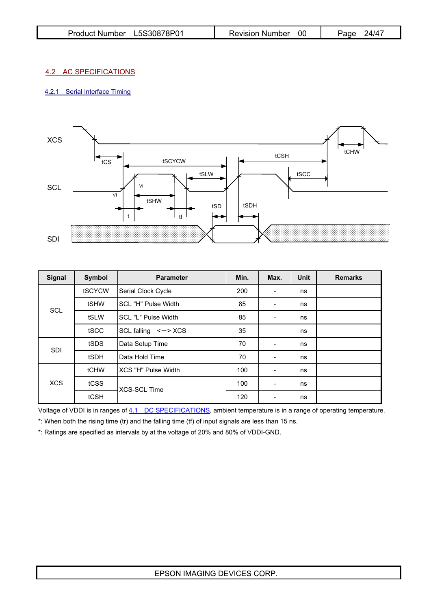| Product Number L5S30878P01 | Revision Number | 24/47<br>Page |
|----------------------------|-----------------|---------------|
|----------------------------|-----------------|---------------|

## 4.2 AC SPECIFICATIONS

## 4.2.1 Serial Interface Timing



| <b>Signal</b>      | Symbol | <b>Parameter</b>           | Min. | Max.                         | <b>Unit</b> | <b>Remarks</b> |
|--------------------|--------|----------------------------|------|------------------------------|-------------|----------------|
|                    | tSCYCW | Serial Clock Cycle         | 200  | $\overline{\phantom{a}}$     | ns          |                |
| <b>SCL</b>         | tSHW   | <b>SCL "H" Pulse Width</b> | 85   | $\overline{\phantom{0}}$     | ns          |                |
|                    | tSLW   | SCL "L" Pulse Width        | 85   | $\blacksquare$               | ns          |                |
|                    | tSCC   | $SCL$ falling $\leq -$ XCS | 35   |                              | ns          |                |
| <b>SDI</b>         | tSDS   | Data Setup Time            | 70   | $\blacksquare$               | ns          |                |
|                    | tSDH   | Data Hold Time             | 70   |                              | ns          |                |
|                    | tCHW   | IXCS "H" Pulse Width       | 100  |                              | ns          |                |
| <b>XCS</b><br>tCSS |        | <b>XCS-SCL Time</b>        | 100  | $\qquad \qquad \blacksquare$ | ns          |                |
|                    | tCSH   |                            | 120  | -                            | ns          |                |

Voltage of VDDI is in ranges of 4.1 DC SPECIFICATIONS, ambient temperature is in a range of operating temperature.

\*: When both the rising time (tr) and the falling time (tf) of input signals are less than 15 ns.

\*: Ratings are specified as intervals by at the voltage of 20% and 80% of VDDI-GND.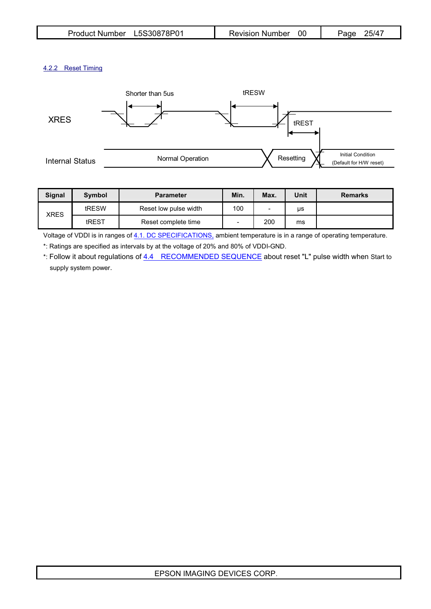# 4.2.2 Reset Timing



| <b>Signal</b> | <b>Symbol</b> | <b>Parameter</b>      | Min. | Max.                     | Unit | <b>Remarks</b> |
|---------------|---------------|-----------------------|------|--------------------------|------|----------------|
|               | tRESW         | Reset low pulse width | 100  | $\overline{\phantom{0}}$ | μs   |                |
| XRES<br>tREST |               | Reset complete time   |      | 200                      | ms   |                |

Voltage of VDDI is in ranges of 4.1. DC SPECIFICATIONS, ambient temperature is in a range of operating temperature.

\*: Ratings are specified as intervals by at the voltage of 20% and 80% of VDDI-GND.

\*: Follow it about regulations of 4.4 RECOMMENDED SEQUENCE about reset "L" pulse width when Start to supply system power.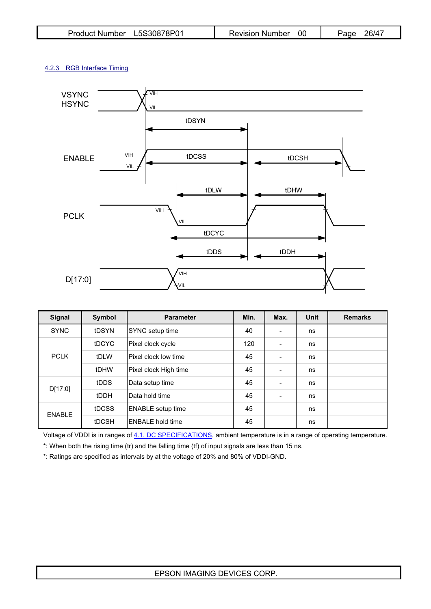| Product Number L5S30878P01 | <b>Revision Number</b> 00 | 26/47<br>Page |
|----------------------------|---------------------------|---------------|
|----------------------------|---------------------------|---------------|

# 4.2.3 RGB Interface Timing



| Signal        | Symbol | <b>Parameter</b>         | Min. | Max. | Unit | <b>Remarks</b> |
|---------------|--------|--------------------------|------|------|------|----------------|
| <b>SYNC</b>   | tDSYN  | SYNC setup time          | 40   |      | ns   |                |
|               | tDCYC  | Pixel clock cycle        | 120  |      | ns   |                |
| <b>PCLK</b>   | tDLW   | Pixel clock low time     | 45   |      | ns   |                |
|               | tDHW   | Pixel clock High time    | 45   |      | ns   |                |
| D[17:0]       | tDDS   | Data setup time          | 45   |      | ns   |                |
|               | tDDH   | <b>I</b> Data hold time  | 45   |      | ns   |                |
| <b>ENABLE</b> | tDCSS  | <b>ENABLE</b> setup time | 45   |      | ns   |                |
|               | tDCSH  | <b>ENBALE</b> hold time  | 45   |      | ns   |                |

Voltage of VDDI is in ranges of 4.1. DC SPECIFICATIONS, ambient temperature is in a range of operating temperature.

\*: When both the rising time (tr) and the falling time (tf) of input signals are less than 15 ns.

\*: Ratings are specified as intervals by at the voltage of 20% and 80% of VDDI-GND.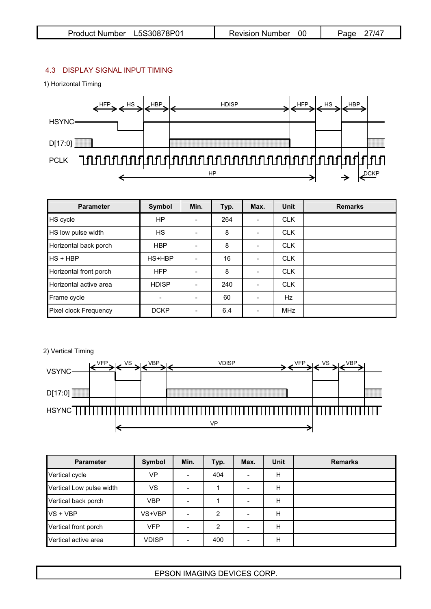# 4.3 DISPLAY SIGNAL INPUT TIMING

1) Horizontal Timing



| <b>Parameter</b>       | Symbol         | Min.           | Typ. | Max.                     | <b>Unit</b> | <b>Remarks</b> |
|------------------------|----------------|----------------|------|--------------------------|-------------|----------------|
| HS cycle               | <b>HP</b>      |                | 264  | $\overline{\phantom{0}}$ | <b>CLK</b>  |                |
| HS low pulse width     | <b>HS</b>      |                | 8    | $\blacksquare$           | <b>CLK</b>  |                |
| Horizontal back porch  | <b>HBP</b>     |                | 8    | $\overline{\phantom{0}}$ | <b>CLK</b>  |                |
| IHS + HBP              | HS+HBP         |                | 16   |                          | <b>CLK</b>  |                |
| Horizontal front porch | <b>HFP</b>     |                | 8    |                          | <b>CLK</b>  |                |
| Horizontal active area | <b>HDISP</b>   | $\blacksquare$ | 240  | $\blacksquare$           | <b>CLK</b>  |                |
| Frame cycle            | $\blacksquare$ |                | 60   |                          | Hz          |                |
| Pixel clock Frequency  | <b>DCKP</b>    |                | 6.4  |                          | <b>MHz</b>  |                |

### 2) Vertical Timing



| <b>Parameter</b>         | Symbol       | Min.                     | Typ. | Max. | <b>Unit</b> | <b>Remarks</b> |
|--------------------------|--------------|--------------------------|------|------|-------------|----------------|
| Vertical cycle           | VP           | $\overline{\phantom{a}}$ | 404  |      | Н           |                |
| Vertical Low pulse width | VS           |                          |      |      | Н           |                |
| Vertical back porch      | <b>VBP</b>   | $\overline{\phantom{0}}$ |      |      | Н           |                |
| VS + VBP                 | VS+VBP       | $\blacksquare$           | 2    |      | н           |                |
| Vertical front porch     | <b>VFP</b>   | $\overline{\phantom{a}}$ | 2    |      | Н           |                |
| Vertical active area     | <b>VDISP</b> | $\blacksquare$           | 400  |      | Н           |                |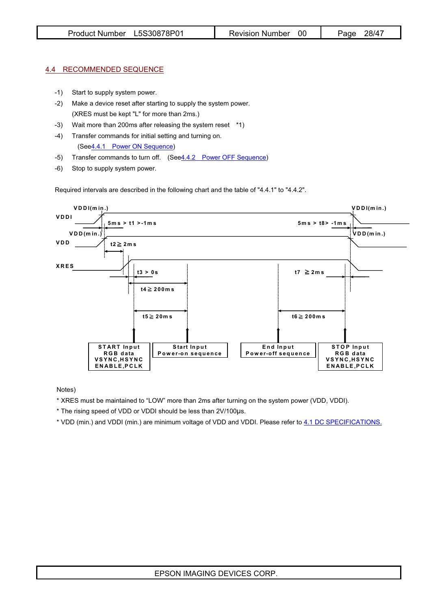### 4.4 RECOMMENDED SEQUENCE

- -1) Start to supply system power.
- -2) Make a device reset after starting to supply the system power. (XRES must be kept "L" for more than 2ms.)
- -3) Wait more than 200ms after releasing the system reset \*1)
- -4) Transfer commands for initial setting and turning on.
	- (See4.4.1 Power ON Sequence)
- -5) Transfer commands to turn off. (See4.4.2 Power OFF Sequence)
- -6) Stop to supply system power.

Required intervals are described in the following chart and the table of "4.4.1" to "4.4.2".



Notes)

\* XRES must be maintained to "LOW" more than 2ms after turning on the system power (VDD, VDDI).

\* The rising speed of VDD or VDDI should be less than 2V/100µs.

\* VDD (min.) and VDDI (min.) are minimum voltage of VDD and VDDI. Please refer to 4.1 DC SPECIFICATIONS.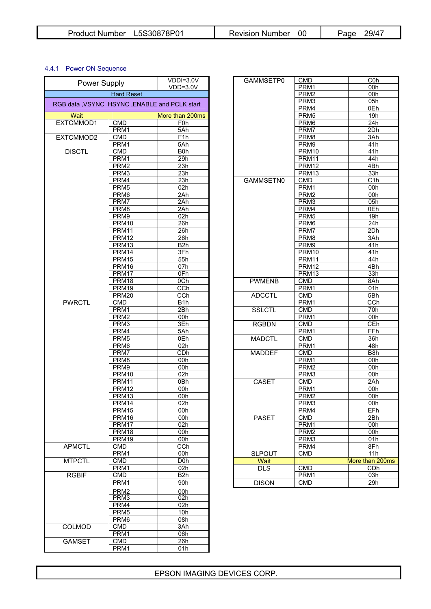## 4.4.1 Power ON Sequence

| Power Supply                                     |                   | $VDDI=3.0V$      | GAMMSETP0     | <b>CMD</b>       | C0 <sub>k</sub>  |
|--------------------------------------------------|-------------------|------------------|---------------|------------------|------------------|
|                                                  |                   | $VDD=3.0V$       |               | PRM1             | 00h              |
|                                                  | <b>Hard Reset</b> |                  |               | PRM <sub>2</sub> | 00h              |
| RGB data , VSYNC , HSYNC , ENABLE and PCLK start |                   |                  |               | PRM3             | 05h              |
|                                                  |                   |                  |               | PRM4             | 0Eh              |
| Wait                                             |                   | More than 200ms  |               | PRM <sub>5</sub> | 19h              |
| EXTCMMOD1                                        | CMD               | F <sub>0</sub> h |               | PRM <sub>6</sub> | 24h              |
|                                                  | PRM1              | 5Ah              |               | PRM7             | 2Dh              |
| EXTCMMOD2                                        | <b>CMD</b>        | F1h              |               | PRM8             | 3Ah              |
|                                                  | PRM1              | 5Ah              |               | PRM9             | 41h              |
| <b>DISCTL</b>                                    | <b>CMD</b>        | B <sub>0</sub> h |               | PRM10            | 41h              |
|                                                  | PRM1              | 29h              |               | PRM11            | 44h              |
|                                                  | PRM <sub>2</sub>  | 23h              |               | <b>PRM12</b>     | 4Bh              |
|                                                  | PRM3              | 23h              |               | PRM13            | 33h              |
|                                                  | PRM4              | 23h              | GAMMSETN0     | <b>CMD</b>       | C1r              |
|                                                  | PRM <sub>5</sub>  | 02h              |               | PRM1             | 00h              |
|                                                  | PRM <sub>6</sub>  | 2Ah              |               | PRM <sub>2</sub> | 00h              |
|                                                  | PRM7              | 2Ah              |               | PRM3             | 05h              |
|                                                  | PRM <sub>8</sub>  | 2Ah              |               | PRM4             | 0Eh              |
|                                                  |                   |                  |               |                  |                  |
|                                                  | PRM9              | 02h              |               | PRM <sub>5</sub> | 19h              |
|                                                  | PRM10             | 26h              |               | PRM <sub>6</sub> | 24h              |
|                                                  | <b>PRM11</b>      | 26h              |               | PRM7             | 2Dr              |
|                                                  | PRM <sub>12</sub> | 26h              |               | PRM <sub>8</sub> | 3Ah              |
|                                                  | PRM13             | B <sub>2</sub> h |               | PRM9             | 41h              |
|                                                  | PRM14             | 3Fh              |               | PRM10            | 41h              |
|                                                  | <b>PRM15</b>      | 55h              |               | <b>PRM11</b>     | 44h              |
|                                                  | PRM16             | 07h              |               | <b>PRM12</b>     | 4Bh              |
|                                                  | PRM <sub>17</sub> | 0Fh              |               | PRM13            | 33h              |
|                                                  | PRM <sub>18</sub> | 0Ch              | <b>PWMENB</b> | <b>CMD</b>       | 8Ar              |
|                                                  | PRM19             | CCh              |               | PRM1             | 01h              |
|                                                  | <b>PRM20</b>      | $\overline{CCh}$ | <b>ADCCTL</b> | <b>CMD</b>       | 5Bh              |
| <b>PWRCTL</b>                                    | <b>CMD</b>        | B <sub>1</sub> h |               | PRM1             | CCI              |
|                                                  | PRM1              | 2Bh              | <b>SSLCTL</b> | <b>CMD</b>       | 70h              |
|                                                  | PRM <sub>2</sub>  | 00h              |               | PRM1             | 00h              |
|                                                  | PRM3              | 3Eh              | <b>RGBDN</b>  | <b>CMD</b>       | <b>CEI</b>       |
|                                                  | PRM4              | 5Ah              |               | PRM1             | FFr              |
|                                                  | PRM <sub>5</sub>  | 0Eh              | <b>MADCTL</b> | <b>CMD</b>       | 36h              |
|                                                  | PRM <sub>6</sub>  | 02h              |               | PRM1             | 48h              |
|                                                  | PRM7              | CDh              | <b>MADDEF</b> | <b>CMD</b>       | B <sub>8</sub> r |
|                                                  | PRM <sub>8</sub>  | 00h              |               | PRM1             | 00h              |
|                                                  |                   |                  |               |                  |                  |
|                                                  | PRM9              | 00h              |               | PRM <sub>2</sub> | 00h              |
|                                                  | PRM <sub>10</sub> | 02h              |               | PRM3             | 00h              |
|                                                  | <b>PRM11</b>      | 0Bh              | <b>CASET</b>  | <b>CMD</b>       | 2Ah              |
|                                                  | <b>PRM12</b>      | 00h              |               | PRM1             | 00h              |
|                                                  | PRM13             | 00h              |               | PRM <sub>2</sub> | 00h              |
|                                                  | PRM14             | 02h              |               | PRM3             | 00h              |
|                                                  | PRM <sub>15</sub> | 00h              |               | PRM4             | EFr              |
|                                                  | PRM <sub>16</sub> | 00h              | <b>PASET</b>  | CMD              | 2Bh              |
|                                                  | PRM17             | 02h              |               | PRM1             | 00h              |
|                                                  | PRM18             | 00h              |               | PRM <sub>2</sub> | 00h              |
|                                                  | PRM19             | 00h              |               | PRM3             | 01h              |
| <b>APMCTL</b>                                    | <b>CMD</b>        | CCh              |               | PRM4             | 8Fh              |
|                                                  | PRM1              | 00h              | <b>SLPOUT</b> | <b>CMD</b>       | 11h              |
| <b>MTPCTL</b>                                    | <b>CMD</b>        | D <sub>0</sub> h | Wait          |                  | More than 2      |
|                                                  | PRM1              | 02h              | <b>DLS</b>    | <b>CMD</b>       | CD               |
| <b>RGBIF</b>                                     | <b>CMD</b>        | B <sub>2</sub> h |               | PRM1             | 03h              |
|                                                  | PRM1              | 90h              | <b>DISON</b>  | CMD              | 29h              |
|                                                  |                   |                  |               |                  |                  |
|                                                  | PRM <sub>2</sub>  | 00h              |               |                  |                  |
|                                                  | PRM3              | 02h              |               |                  |                  |
|                                                  | PRM4              | 02h              |               |                  |                  |
|                                                  | PRM <sub>5</sub>  | 10h              |               |                  |                  |
|                                                  | PRM <sub>6</sub>  | 08h              |               |                  |                  |
| COLMOD                                           | CMD               | 3Ah              |               |                  |                  |
|                                                  | PRM1              | 06h              |               |                  |                  |
| <b>GAMSET</b>                                    | <b>CMD</b>        | 26h              |               |                  |                  |
|                                                  | PRM1              | 01h              |               |                  |                  |

| Power Supply  |                                              | $VDDI=3.0V$      | GAMMSETP0     | <b>CMD</b>        | C <sub>0</sub> h        |
|---------------|----------------------------------------------|------------------|---------------|-------------------|-------------------------|
|               |                                              | $VDD=3.0V$       |               | PRM1              | 00h                     |
|               | <b>Hard Reset</b>                            |                  |               | PRM <sub>2</sub>  | 00h                     |
|               | 3 data , VSYNC, HSYNC, ENABLE and PCLK start |                  |               | PRM3              | 05h                     |
|               |                                              |                  |               | PRM4              | 0Eh                     |
| Wait          |                                              | More than 200ms  |               | PRM <sub>5</sub>  | 19h                     |
| TCMMOD1       | <b>CMD</b>                                   | F <sub>0</sub> h |               | PRM <sub>6</sub>  | 24h                     |
|               | PRM1                                         | 5Ah              |               | PRM7              | 2Dh                     |
| TCMMOD2       | <b>CMD</b>                                   | F <sub>1</sub> h |               | PRM <sub>8</sub>  | 3Ah                     |
|               | PRM1                                         | 5Ah              |               | PRM9              | 41h                     |
| <b>DISCTL</b> | <b>CMD</b>                                   | B <sub>0</sub> h |               | <b>PRM10</b>      | 41h                     |
|               | PRM1                                         | 29h              |               | <b>PRM11</b>      | 44h                     |
|               | PRM <sub>2</sub>                             | 23h              |               | <b>PRM12</b>      | 4Bh                     |
|               | PRM3                                         | 23h              |               | PRM13             | 33h                     |
|               | PRM4                                         | 23h              | GAMMSETN0     | <b>CMD</b>        | C1h                     |
|               | PRM <sub>5</sub>                             | 02h              |               | PRM1              | 00h                     |
|               | PRM <sub>6</sub>                             | 2Ah              |               | PRM <sub>2</sub>  | 00h                     |
|               | PRM7                                         | 2Ah              |               | PRM3              | 05h                     |
|               | PRM <sub>8</sub>                             | 2Ah              |               | PRM4              | 0Eh                     |
|               | PRM9                                         | 02h              |               | PRM <sub>5</sub>  | 19h                     |
|               | <b>PRM10</b>                                 | 26h              |               | PRM <sub>6</sub>  | 24h                     |
|               | <b>PRM11</b>                                 | 26h              |               | PRM7              | 2Dh                     |
|               | <b>PRM12</b>                                 | 26h              |               | PRM <sub>8</sub>  | 3Ah                     |
|               | PRM13                                        | B <sub>2</sub> h |               | PRM9              | 41h                     |
|               | <b>PRM14</b>                                 | 3Fh              |               | <b>PRM10</b>      | 41h                     |
|               | <b>PRM15</b>                                 | 55h              |               | <b>PRM11</b>      | 44h                     |
|               |                                              |                  |               |                   |                         |
|               | PRM <sub>16</sub>                            | 07h              |               | PRM <sub>12</sub> | 4Bh                     |
|               | PRM17                                        | 0Fh              |               | PRM13             | 33h                     |
|               | PRM18                                        | 0Ch              | <b>PWMENB</b> | <b>CMD</b>        | 8Ah                     |
|               | PRM19                                        | CCh              |               | PRM1              | 01h                     |
|               | <b>PRM20</b>                                 | CCh              | <b>ADCCTL</b> | <b>CMD</b>        | 5Bh                     |
| <b>PWRCTL</b> | <b>CMD</b>                                   | B <sub>1</sub> h |               | PRM1              | $\overline{\text{CCh}}$ |
|               | PRM1                                         | 2Bh              | <b>SSLCTL</b> | <b>CMD</b>        | 70h                     |
|               | PRM <sub>2</sub>                             | 00h              |               | PRM1              | 00h                     |
|               | PRM3                                         | 3Eh              | <b>RGBDN</b>  | <b>CMD</b>        | CEh                     |
|               | PRM4                                         | 5Ah              |               | PRM1              | FFh                     |
|               | PRM <sub>5</sub>                             | 0Eh              | <b>MADCTL</b> | <b>CMD</b>        | 36h                     |
|               | PRM <sub>6</sub>                             | 02h              |               | PRM1              | 48h                     |
|               | PRM7                                         | CDh              | <b>MADDEF</b> | <b>CMD</b>        | B <sub>8</sub> h        |
|               | PRM <sub>8</sub>                             | 00h              |               | PRM1              | 00h                     |
|               | PRM9                                         | 00h              |               | PRM <sub>2</sub>  | 00h                     |
|               | <b>PRM10</b>                                 | 02h              |               | PRM3              | 00h                     |
|               | <b>PRM11</b>                                 | 0Bh              | <b>CASET</b>  | <b>CMD</b>        | 2Ah                     |
|               | <b>PRM12</b>                                 | 00h              |               | PRM1              | 00h                     |
|               | PRM <sub>13</sub>                            | 00h              |               | PRM <sub>2</sub>  | 00h                     |
|               | PRM14                                        | 02h              |               | PRM3              | 00h                     |
|               | <b>PRM15</b>                                 | 00h              |               | PRM4              | EFh                     |
|               | PRM16                                        | 00h              | <b>PASET</b>  | CMD               | 2Bh                     |
|               | PRM17                                        | 02h              |               | PRM1              | 00h                     |
|               | PRM18                                        | 00h              |               | PRM <sub>2</sub>  | 00h                     |
|               | PRM19                                        | 00h              |               | PRM3              | 01h                     |
| <b>APMCTL</b> | <b>CMD</b>                                   | CCh              |               | PRM4              | 8Fh                     |
|               | PRM1                                         | 00h              | <b>SLPOUT</b> | <b>CMD</b>        | 11h                     |
| <b>MTPCTL</b> | CMD                                          | D <sub>0</sub> h | Wait          |                   | More than 200ms         |
|               | PRM1                                         | 02h              | DLS           | <b>CMD</b>        | CDh                     |
| <b>RGBIF</b>  | <b>CMD</b>                                   | B <sub>2</sub> h |               | PRM1              | 03h                     |
|               | PRM1                                         | 90h              | <b>DISON</b>  | <b>CMD</b>        | 29h                     |
|               |                                              |                  |               |                   |                         |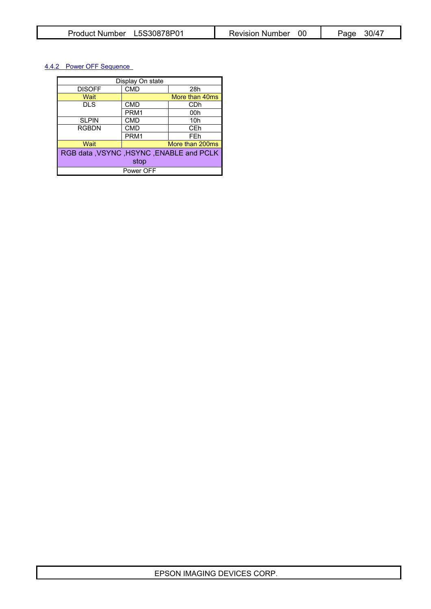# 4.4.2 Power OFF Sequence

| Display On state |                                            |                 |  |  |  |  |  |
|------------------|--------------------------------------------|-----------------|--|--|--|--|--|
| <b>DISOFF</b>    | <b>CMD</b>                                 | 28h             |  |  |  |  |  |
| Wait             |                                            | More than 40ms  |  |  |  |  |  |
| <b>DLS</b>       | <b>CMD</b>                                 | CDh             |  |  |  |  |  |
|                  | PRM1                                       | 00h             |  |  |  |  |  |
| <b>SLPIN</b>     | <b>CMD</b>                                 | 10 <sub>h</sub> |  |  |  |  |  |
| <b>RGBDN</b>     | <b>CMD</b>                                 | CEh             |  |  |  |  |  |
|                  | PRM1                                       | FEh             |  |  |  |  |  |
| Wait             |                                            | More than 200ms |  |  |  |  |  |
|                  | RGB data , VSYNC , HSYNC , ENABLE and PCLK |                 |  |  |  |  |  |
| stop             |                                            |                 |  |  |  |  |  |
|                  | Power OFF                                  |                 |  |  |  |  |  |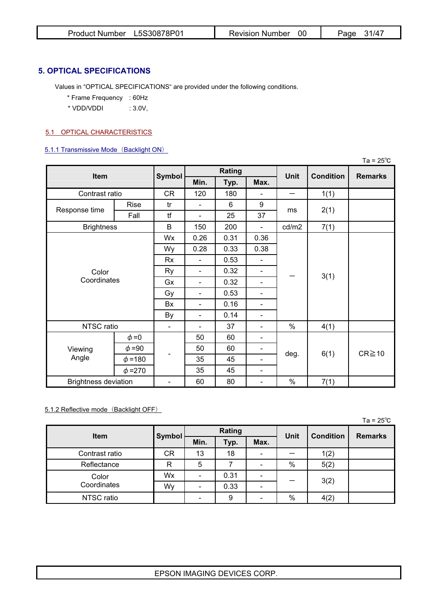| Product Number L5S30878P01 | Revision Number | 31/47<br>Page |
|----------------------------|-----------------|---------------|
|----------------------------|-----------------|---------------|

# **5. OPTICAL SPECIFICATIONS**

Values in "OPTICAL SPECIFICATIONS" are provided under the following conditions.

- \* Frame Frequency : 60Hz
- \* VDD/VDDI : 3.0V,

### 5.1 OPTICAL CHARACTERISTICS

#### 5.1.1 Transmissive Mode (Backlight ON)

|                             |              |                          |                          |        |                              |             |                  | $Ta = 25^{\circ}C$ |
|-----------------------------|--------------|--------------------------|--------------------------|--------|------------------------------|-------------|------------------|--------------------|
| Item                        |              | <b>Symbol</b>            |                          | Rating |                              | <b>Unit</b> | <b>Condition</b> | <b>Remarks</b>     |
|                             |              |                          | Min.                     | Typ.   | Max.                         |             |                  |                    |
| Contrast ratio              |              | CR                       | 120                      | 180    |                              |             | 1(1)             |                    |
|                             | Rise         | tr                       | $\overline{\phantom{0}}$ | 6      | 9                            |             |                  |                    |
| Response time               | Fall         | tf                       | $\overline{a}$           | 25     | 37                           | ms          | 2(1)             |                    |
| <b>Brightness</b>           |              | B                        | 150                      | 200    | $\overline{\phantom{a}}$     | cd/m2       | 7(1)             |                    |
|                             |              | Wx                       | 0.26                     | 0.31   | 0.36                         |             |                  |                    |
|                             |              | Wy                       | 0.28                     | 0.33   | 0.38                         | 3(1)        |                  |                    |
|                             |              | <b>Rx</b>                | $\overline{\phantom{0}}$ | 0.53   | $\overline{\phantom{a}}$     |             |                  |                    |
| Color                       |              | <b>Ry</b>                | $\overline{\phantom{a}}$ | 0.32   | $\overline{\phantom{a}}$     |             |                  |                    |
| Coordinates                 |              | Gx                       | $\overline{\phantom{0}}$ | 0.32   | $\overline{\phantom{a}}$     |             |                  |                    |
|                             |              | Gy                       | $\overline{\phantom{a}}$ | 0.53   | $\qquad \qquad \blacksquare$ |             |                  |                    |
|                             |              | Bx                       | $\overline{a}$           | 0.16   | $\qquad \qquad \blacksquare$ |             |                  |                    |
|                             |              | By                       | $\overline{\phantom{0}}$ | 0.14   | $\qquad \qquad \blacksquare$ |             |                  |                    |
| NTSC ratio                  |              | $\overline{\phantom{a}}$ | $\overline{a}$           | 37     | $\overline{\phantom{a}}$     | $\%$        | 4(1)             |                    |
|                             | $\phi = 0$   |                          | 50                       | 60     | $\overline{\phantom{a}}$     |             |                  |                    |
| Viewing                     | $\phi = 90$  |                          | 50                       | 60     | $\qquad \qquad \blacksquare$ |             |                  |                    |
| Angle                       | $\phi = 180$ | -                        | 35                       | 45     | $\qquad \qquad \blacksquare$ | deg.        | 6(1)             | $CR \ge 10$        |
|                             | $\phi = 270$ |                          | 35                       | 45     | -                            |             |                  |                    |
| <b>Brightness deviation</b> |              | -                        | 60                       | 80     | -                            | $\%$        | 7(1)             |                    |

# 5.1.2 Reflective mode (Backlight OFF)

Ta =  $25^\circ$ C  $^{-1}$  and  $^{-1}$  and  $^{-1}$  and  $^{-1}$  and  $^{-1}$  and  $^{-1}$  and  $^{-1}$  and  $^{-1}$  and  $^{-1}$  and  $^{-1}$  and  $^{-1}$  and  $^{-1}$  and  $^{-1}$  and  $^{-1}$  and  $^{-1}$  and  $^{-1}$  and  $^{-1}$  and  $^{-1}$  and  $^{-1}$  and  $^{-1}$  and  $^{-1}$  an

| <b>Item</b>    | <b>Symbol</b> | Rating         |      |      | Unit | <b>Condition</b> | <b>Remarks</b> |
|----------------|---------------|----------------|------|------|------|------------------|----------------|
|                |               | Min.           | Typ. | Max. |      |                  |                |
| Contrast ratio | СR            | 13             | 18   |      |      | 1(2)             |                |
| Reflectance    | R             | 5              |      |      | $\%$ | 5(2)             |                |
| Color          | Wx            |                | 0.31 |      | 3(2) |                  |                |
| Coordinates    | Wy            | $\blacksquare$ | 0.33 | ۰    |      |                  |                |
| NTSC ratio     |               |                | 9    |      | $\%$ | 4(2)             |                |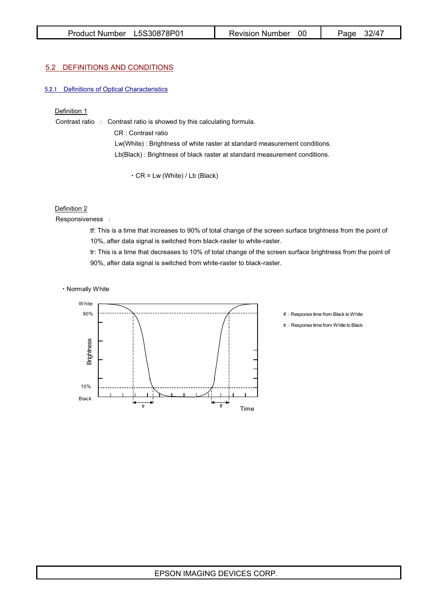#### 5.2 DEFINITIONS AND CONDITIONS

#### 5.2.1 Definitions of Optical Characteristics

#### Definition 1

Contrast ratio : Contrast ratio is showed by this calculating formula. CR : Contrast ratio Lw(White) : Brightness of white raster at standard measurement conditions. Lb(Black) : Brightness of black raster at standard measurement conditions.

CR = Lw (White) / Lb (Black)

#### Definition 2

Responsiveness :

tf: This is a time that increases to 90% of total change of the screen surface brightness from the point of 10%, after data signal is switched from black-raster to white-raster.

tr: This is a time that decreases to 10% of total change of the screen surface brightness from the point of 90%, after data signal is switched from white-raster to black-raster.

Normally White



- tf: Response time from Black to White
- tr: Response time from White to Black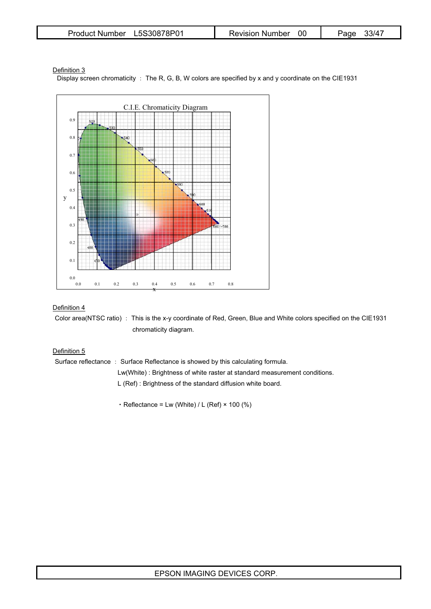| Product Number L5S30878P01 | <b>Revision Number</b> | 33/47<br>Page |
|----------------------------|------------------------|---------------|
|----------------------------|------------------------|---------------|

#### Definition 3

Display screen chromaticity : The R, G, B, W colors are specified by x and y coordinate on the CIE1931



#### Definition 4

Color area(NTSC ratio) : This is the x-y coordinate of Red, Green, Blue and White colors specified on the CIE1931 chromaticity diagram.

## Definition 5

Surface reflectance : Surface Reflectance is showed by this calculating formula.

- Lw(White) : Brightness of white raster at standard measurement conditions.
- L (Ref) : Brightness of the standard diffusion white board.
- $\cdot$  Reflectance = Lw (White) / L (Ref)  $\times$  100 (%)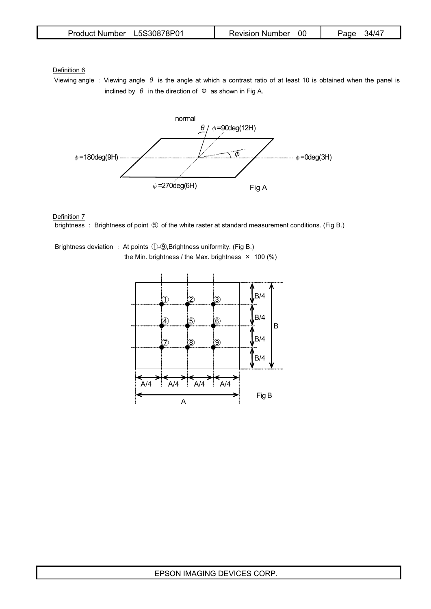| Product Number L5S30878P01 | Revision Number 00 | Page 34/47 |
|----------------------------|--------------------|------------|
|----------------------------|--------------------|------------|

Definition 6

Viewing angle : Viewing angle  $\theta$  is the angle at which a contrast ratio of at least 10 is obtained when the panel is inclined by  $\theta$  in the direction of  $\Phi$  as shown in Fig A.



#### Definition 7

brightness : Brightness of point  $\circled{5}$  of the white raster at standard measurement conditions. (Fig B.)

Brightness deviation : At points ①-⑨,Brightness uniformity. (Fig B.) the Min. brightness / the Max. brightness  $\times$  100 (%)

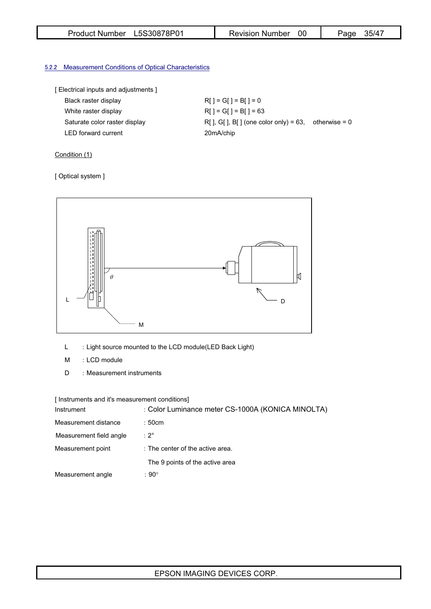| Product Number L5S30878P01 | <b>Revision Number</b> | 35/47<br>Page |
|----------------------------|------------------------|---------------|
|----------------------------|------------------------|---------------|

# **5.2.2** Measurement Conditions of Optical Characteristics

|  |  | [ Electrical inputs and adjustments ] |  |
|--|--|---------------------------------------|--|
|  |  |                                       |  |

| Black raster display          | $RI = GI = BI = 0$                                    |  |
|-------------------------------|-------------------------------------------------------|--|
| White raster display          | $RI = GI = BI = 63$                                   |  |
| Saturate color raster display | $R[$ ], G[], B[] (one color only) = 63, otherwise = 0 |  |
| <b>LED</b> forward current    | 20mA/chip                                             |  |

# Condition (1)

### [ Optical system ]



- L : Light source mounted to the LCD module(LED Back Light)
- M : LCD module
- D : Measurement instruments

[ Instruments and it's measurement conditions]

| Instrument              | : Color Luminance meter CS-1000A (KONICA MINOLTA) |
|-------------------------|---------------------------------------------------|
| Measurement distance    | :50cm                                             |
| Measurement field angle | $: 2^{\circ}$                                     |
| Measurement point       | : The center of the active area.                  |
|                         | The 9 points of the active area                   |
| Measurement angle       | $:90^{\circ}$                                     |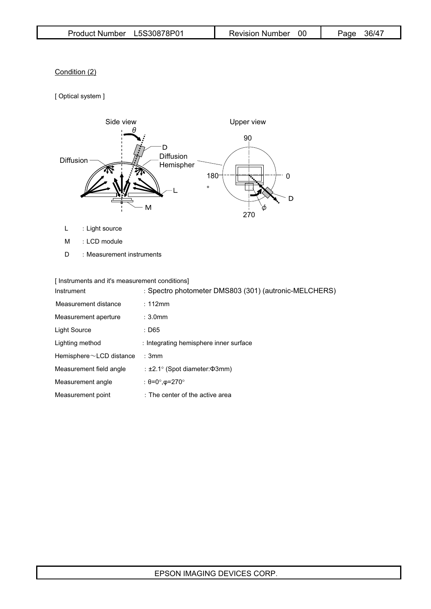# Condition (2)

[ Optical system ]



- L : Light source
- M : LCD module
- D : Measurement instruments

| Instrument                     | : Spectro photometer DMS803 (301) (autronic-MELCHERS) |
|--------------------------------|-------------------------------------------------------|
| Measurement distance           | : 112mm                                               |
| Measurement aperture           | $: 3.0$ mm                                            |
| Light Source                   | : D65                                                 |
| Lighting method                | : Integrating hemisphere inner surface                |
| Hemisphere $\sim$ LCD distance | : 3mm                                                 |
| Measurement field angle        | : $\pm 2.1^\circ$ (Spot diameter: $\Phi$ 3mm)         |
| Measurement angle              | : $\theta = 0^\circ$ , $\phi = 270^\circ$             |
| Measurement point              | : The center of the active area                       |

# EPSON IMAGING DEVICES CORP.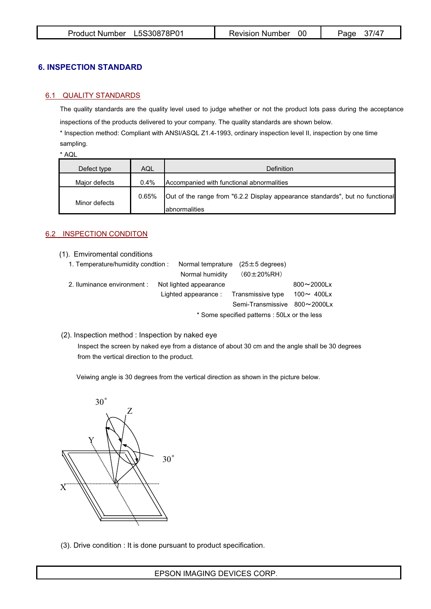# **6. INSPECTION STANDARD**

## 6.1 QUALITY STANDARDS

The quality standards are the quality level used to judge whether or not the product lots pass during the acceptance

inspections of the products delivered to your company. The quality standards are shown below.

\* Inspection method: Compliant with ANSI/ASQL Z1.4-1993, ordinary inspection level II, inspection by one time sampling.

\* AQL

| Defect type   | AQL   | Definition                                                                                      |
|---------------|-------|-------------------------------------------------------------------------------------------------|
| Major defects | 0.4%  | Accompanied with functional abnormalities                                                       |
| Minor defects | 0.65% | Out of the range from "6.2.2 Display appearance standards", but no functional<br>Iabnormalities |

# 6.2 INSPECTION CONDITON

(1). Emviromental conditions

| 1. Temperature/humidity condtion : |  |                        | Normal temprature $(25 \pm 5$ degrees)       |                  |
|------------------------------------|--|------------------------|----------------------------------------------|------------------|
|                                    |  | Normal humidity        | $(60 \pm 20\% RH)$                           |                  |
| 2. Iluminance environment :        |  | Not lighted appearance |                                              | $800 - 2000$ Lx  |
|                                    |  |                        | Lighted appearance : Transmissive type       | 100 $\sim$ 400Lx |
|                                    |  |                        | Semi-Transmissive 800~2000Lx                 |                  |
|                                    |  |                        | * Some specified patterns : 50Lx or the less |                  |

## (2). Inspection method : Inspection by naked eye

Inspect the screen by naked eye from a distance of about 30 cm and the angle shall be 30 degrees from the vertical direction to the product.

Veiwing angle is 30 degrees from the vertical direction as shown in the picture below.



(3). Drive condition : It is done pursuant to product specification.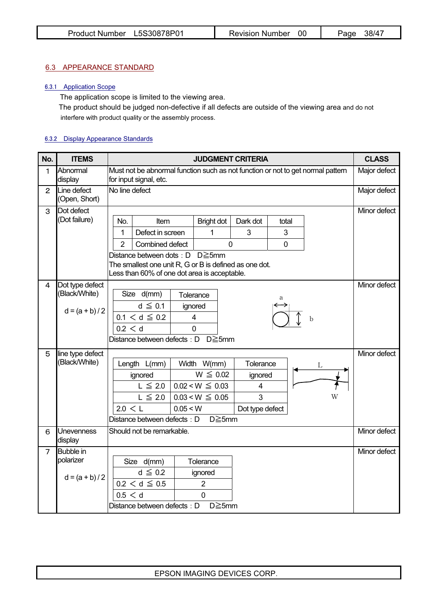## 6.3 APPEARANCE STANDARD

### 6.3.1 Application Scope

The application scope is limited to the viewing area.

The product should be judged non-defective if all defects are outside of the viewing area and do not interfere with product quality or the assembly process.

# 6.3.2 Display Appearance Standards

| No.            | <b>ITEMS</b>                 | <b>JUDGMENT CRITERIA</b>                                                                                  |          |                         |                          | <b>CLASS</b>   |   |              |
|----------------|------------------------------|-----------------------------------------------------------------------------------------------------------|----------|-------------------------|--------------------------|----------------|---|--------------|
| 1              | Abnormal<br>display          | Must not be abnormal function such as not function or not to get normal pattern<br>for input signal, etc. |          |                         |                          | Major defect   |   |              |
| $\overline{2}$ | Line defect<br>(Open, Short) | No line defect                                                                                            |          |                         |                          |                |   | Major defect |
| 3              | Dot defect                   |                                                                                                           |          |                         |                          |                |   | Minor defect |
|                | (Dot failure)                | No.<br>Item                                                                                               |          | <b>Bright dot</b>       | Dark dot                 | total          |   |              |
|                |                              | Defect in screen<br>1                                                                                     |          | 1                       | 3                        | 3              |   |              |
|                |                              | $\overline{2}$<br>Combined defect                                                                         |          | $\overline{0}$          |                          | $\overline{0}$ |   |              |
|                |                              | Distance between dots : $D$ $D \ge 5$ mm                                                                  |          |                         |                          |                |   |              |
|                |                              | The smallest one unit R, G or B is defined as one dot.<br>Less than 60% of one dot area is acceptable.    |          |                         |                          |                |   |              |
| 4              | Dot type defect              |                                                                                                           |          |                         |                          |                |   | Minor defect |
|                | (Black/White)                | Size d(mm)                                                                                                |          | Tolerance               |                          | а              |   |              |
|                | $d = (a + b)/2$              | $d \leq 0.1$                                                                                              |          | ignored                 |                          |                |   |              |
|                |                              | $0.1 < d \leq 0.2$                                                                                        |          | $\overline{\mathbf{4}}$ |                          |                | b |              |
|                |                              | 0.2 < d                                                                                                   |          | $\overline{0}$          |                          |                |   |              |
|                |                              | Distance between defects : D D≧5mm                                                                        |          |                         |                          |                |   |              |
| 5              | line type defect             |                                                                                                           |          |                         |                          |                |   | Minor defect |
|                | (Black/White)                | Length L(mm)                                                                                              |          | Width W(mm)             | Tolerance                |                | L |              |
|                |                              | ignored                                                                                                   |          | $W \leq 0.02$           | ignored                  |                |   |              |
|                |                              | $L \leq 2.0$                                                                                              |          | $0.02 < W \leq 0.03$    | $\overline{\mathcal{A}}$ |                |   |              |
|                |                              | $L \leq 2.0$                                                                                              |          | $0.03 < W \leq 0.05$    | 3                        |                | W |              |
|                |                              | 2.0 < L                                                                                                   | 0.05 < W |                         | Dot type defect          |                |   |              |
|                |                              | $D \ge 5$ mm<br>Distance between defects: D                                                               |          |                         |                          |                |   |              |
| 6              | Unevenness<br>display        | Should not be remarkable.                                                                                 |          |                         | Minor defect             |                |   |              |
| $\overline{7}$ | <b>Bubble</b> in             |                                                                                                           |          |                         |                          |                |   | Minor defect |
|                | polarizer                    | Size d(mm)                                                                                                |          | Tolerance               |                          |                |   |              |
|                | $d = (a + b)/2$              | $d \leq 0.2$                                                                                              |          | ignored                 |                          |                |   |              |
|                |                              | $0.2 < d \leq 0.5$                                                                                        |          | $\overline{2}$          |                          |                |   |              |
|                |                              | 0.5 < d                                                                                                   |          | $\overline{0}$          |                          |                |   |              |
|                |                              | Distance between defects: D                                                                               |          | $D \ge 5$ mm            |                          |                |   |              |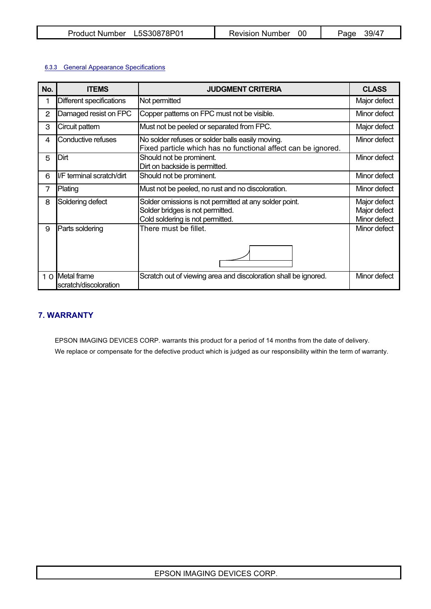| L5S30878P01<br>Product Number | Revision Number | 39/47<br>Page |
|-------------------------------|-----------------|---------------|
|-------------------------------|-----------------|---------------|

## 6.3.3 General Appearance Specifications

| No. | <b>ITEMS</b>                             | <b>JUDGMENT CRITERIA</b>                                                                                                       | <b>CLASS</b>                                 |
|-----|------------------------------------------|--------------------------------------------------------------------------------------------------------------------------------|----------------------------------------------|
| 1   | Different specifications                 | Not permitted                                                                                                                  | Major defect                                 |
| 2   | Damaged resist on FPC                    | Copper patterns on FPC must not be visible.                                                                                    | Minor defect                                 |
| 3   | Circuit pattern                          | Must not be peeled or separated from FPC.                                                                                      | Major defect                                 |
| 4   | Conductive refuses                       | No solder refuses or solder balls easily moving.<br>Fixed particle which has no functional affect can be ignored.              | Minor defect                                 |
| 5   | Dirt                                     | Should not be prominent.<br>Dirt on backside is permitted.                                                                     | Minor defect                                 |
| 6   | I/F terminal scratch/dirt                | Should not be prominent.                                                                                                       | Minor defect                                 |
| 7   | Plating                                  | Must not be peeled, no rust and no discoloration.                                                                              | Minor defect                                 |
| 8   | Soldering defect                         | Solder omissions is not permitted at any solder point.<br>Solder bridges is not permitted.<br>Cold soldering is not permitted. | Major defect<br>Major defect<br>Minor defect |
| 9   | Parts soldering                          | There must be fillet.                                                                                                          | Minor defect                                 |
|     | 1 0 Metal frame<br>scratch/discoloration | Scratch out of viewing area and discoloration shall be ignored.                                                                | Minor defect                                 |

# **7. WARRANTY**

EPSON IMAGING DEVICES CORP. warrants this product for a period of 14 months from the date of delivery. We replace or compensate for the defective product which is judged as our responsibility within the term of warranty.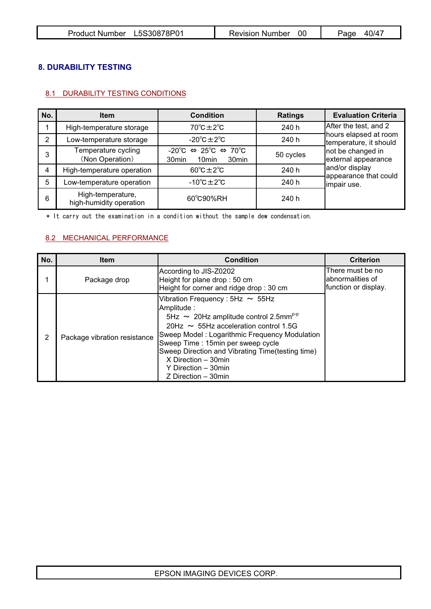| Product Number L5S30878P01 | Revision Number 00 | 40/47<br>Page |
|----------------------------|--------------------|---------------|
|----------------------------|--------------------|---------------|

# **8. DURABILITY TESTING**

# 8.1 DURABILITY TESTING CONDITIONS

| No. | <b>Item</b>                                  | <b>Condition</b>                                                                                                                      | <b>Ratings</b> | <b>Evaluation Criteria</b>                      |
|-----|----------------------------------------------|---------------------------------------------------------------------------------------------------------------------------------------|----------------|-------------------------------------------------|
|     | High-temperature storage                     | $70^{\circ}$ C $\pm$ 2 $^{\circ}$ C                                                                                                   | 240 h          | After the test, and 2                           |
| 2   | Low-temperature storage                      | $-20^{\circ}$ C $\pm 2^{\circ}$ C                                                                                                     | 240 h          | hours elapsed at room<br>temperature, it should |
| 3   | Temperature cycling<br>(Non Operation)       | $-20^{\circ}C \Leftrightarrow 25^{\circ}C \Leftrightarrow 70^{\circ}C$<br>30 <sub>min</sub><br>30 <sub>min</sub><br>10 <sub>min</sub> | 50 cycles      | not be changed in<br>external appearance        |
| 4   | High-temperature operation                   | $60^{\circ}$ C $\pm$ 2 $^{\circ}$ C                                                                                                   | 240 h          | and/or display                                  |
| 5   | Low-temperature operation                    | $-10^{\circ}$ C $\pm 2^{\circ}$ C                                                                                                     | 240 h          | appearance that could<br>impair use.            |
| 6   | High-temperature,<br>high-humidity operation | 60°C90%RH                                                                                                                             | 240 h          |                                                 |

\* It carry out the examination in a condition without the sample dew condensation.

# 8.2 MECHANICAL PERFORMANCE

| No. | <b>Item</b>                  | <b>Condition</b>                                                                                                                                                                                                                                                                                                                                                              | <b>Criterion</b>                                              |
|-----|------------------------------|-------------------------------------------------------------------------------------------------------------------------------------------------------------------------------------------------------------------------------------------------------------------------------------------------------------------------------------------------------------------------------|---------------------------------------------------------------|
|     | Package drop                 | According to JIS-Z0202<br>Height for plane drop: 50 cm<br>Height for corner and ridge drop: 30 cm                                                                                                                                                                                                                                                                             | There must be no<br>labnormalities of<br>function or display. |
| 2   | Package vibration resistance | Vibration Frequency: $5Hz \sim 55Hz$<br>Amplitude:<br>5Hz $\sim$ 20Hz amplitude control 2.5mm <sup>p-p</sup><br>20Hz $\sim$ 55Hz acceleration control 1.5G<br>Sweep Model: Logarithmic Frequency Modulation<br>Sweep Time: 15min per sweep cycle<br>Sweep Direction and Vibrating Time(testing time)<br>$X$ Direction $-30$ min<br>Y Direction - 30min<br>Z Direction - 30min |                                                               |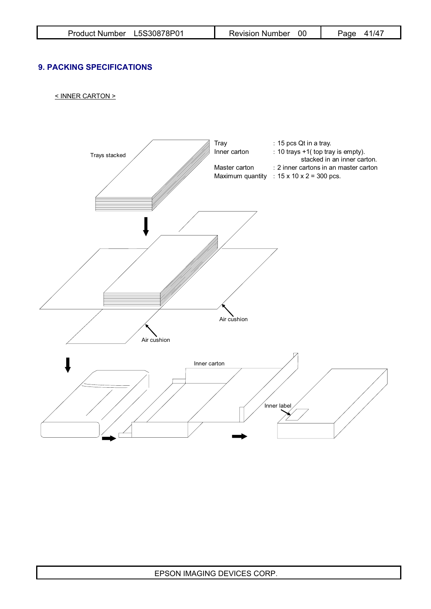# **9. PACKING SPECIFICATIONS**

< INNER CARTON >

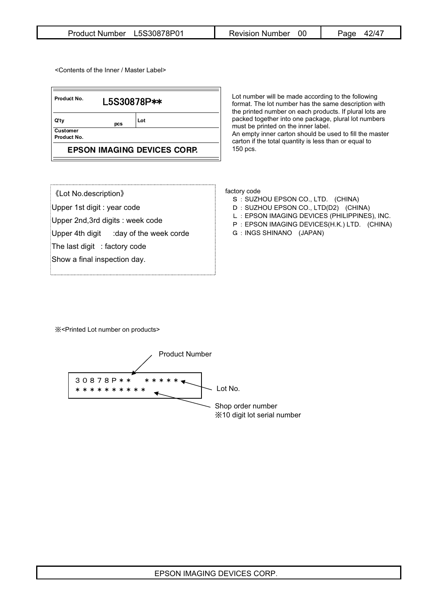| Product Number L5S30878P01 | Revision Number | 42/47<br>Page |
|----------------------------|-----------------|---------------|
|----------------------------|-----------------|---------------|

<Contents of the Inner / Master Label>

| Product No.<br>L5S30878P**         |     |     |  |  |
|------------------------------------|-----|-----|--|--|
| Q'ty                               | pcs | Lot |  |  |
| <b>Customer</b><br>Product No.     |     |     |  |  |
| <b>EPSON IMAGING DEVICES CORP.</b> |     |     |  |  |

Lot number will be made according to the following format. The lot number has the same description with the printed number on each products. If plural lots are packed together into one package, plural lot numbers must be printed on the inner label. An empty inner carton should be used to fill the master carton if the total quantity is less than or equal to 150 pcs.

| <b>《Lot No.description》</b> |  |
|-----------------------------|--|
|-----------------------------|--|

Upper 1st digit : year code

Upper 2nd,3rd digits : week code

Upper 4th digit  $:$  day of the week corde

The last digit : factory code

Show a final inspection day.

factory code

- S : SUZHOU EPSON CO., LTD. (CHINA)
- D : SUZHOU EPSON CO., LTD(D2) (CHINA)
- L : EPSON IMAGING DEVICES (PHILIPPINES), INC.
- P : EPSON IMAGING DEVICES(H.K.) LTD. (CHINA)
- G : INGS SHINANO (JAPAN)

̪<Printed Lot number on products>

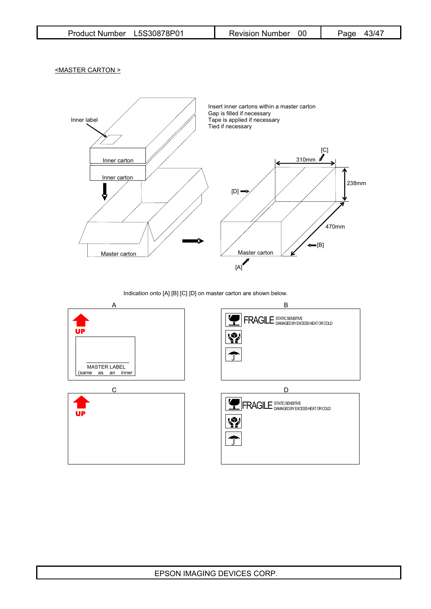<MASTER CARTON >



Indication onto [A] [B] [C] [D] on master carton are shown below.

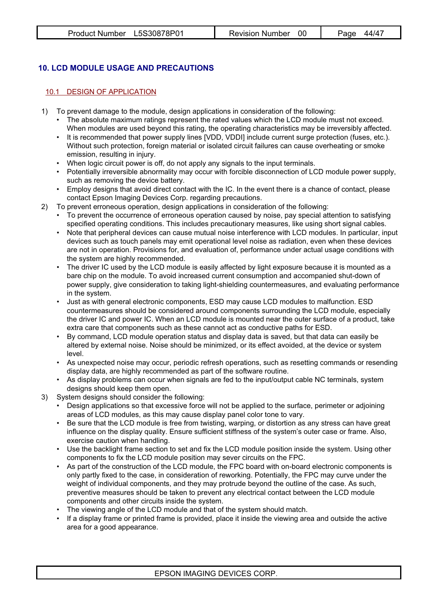# **10. LCD MODULE USAGE AND PRECAUTIONS**

# 10.1 DESIGN OF APPLICATION

- 1) To prevent damage to the module, design applications in consideration of the following:
	- The absolute maximum ratings represent the rated values which the LCD module must not exceed. When modules are used beyond this rating, the operating characteristics may be irreversibly affected.
	- It is recommended that power supply lines [VDD, VDDI] include current surge protection (fuses, etc.). Without such protection, foreign material or isolated circuit failures can cause overheating or smoke emission, resulting in injury.
	- When logic circuit power is off, do not apply any signals to the input terminals.
	- Potentially irreversible abnormality may occur with forcible disconnection of LCD module power supply, such as removing the device battery.
	- Employ designs that avoid direct contact with the IC. In the event there is a chance of contact, please contact Epson Imaging Devices Corp. regarding precautions.
- 2) To prevent erroneous operation, design applications in consideration of the following:
	- To prevent the occurrence of erroneous operation caused by noise, pay special attention to satisfying specified operating conditions. This includes precautionary measures, like using short signal cables.
	- Note that peripheral devices can cause mutual noise interference with LCD modules. In particular, input devices such as touch panels may emit operational level noise as radiation, even when these devices are not in operation. Provisions for, and evaluation of, performance under actual usage conditions with the system are highly recommended.
	- The driver IC used by the LCD module is easily affected by light exposure because it is mounted as a bare chip on the module. To avoid increased current consumption and accompanied shut-down of power supply, give consideration to taking light-shielding countermeasures, and evaluating performance in the system.
	- Just as with general electronic components, ESD may cause LCD modules to malfunction. ESD countermeasures should be considered around components surrounding the LCD module, especially the driver IC and power IC. When an LCD module is mounted near the outer surface of a product, take extra care that components such as these cannot act as conductive paths for ESD.
	- By command, LCD module operation status and display data is saved, but that data can easily be altered by external noise. Noise should be minimized, or its effect avoided, at the device or system level.
	- As unexpected noise may occur, periodic refresh operations, such as resetting commands or resending display data, are highly recommended as part of the software routine.
	- As display problems can occur when signals are fed to the input/output cable NC terminals, system designs should keep them open.
- 3) System designs should consider the following:
	- Design applications so that excessive force will not be applied to the surface, perimeter or adjoining areas of LCD modules, as this may cause display panel color tone to vary.
	- Be sure that the LCD module is free from twisting, warping, or distortion as any stress can have great influence on the display quality. Ensure sufficient stiffness of the system's outer case or frame. Also, exercise caution when handling.
	- Use the backlight frame section to set and fix the LCD module position inside the system. Using other components to fix the LCD module position may sever circuits on the FPC.
	- As part of the construction of the LCD module, the FPC board with on-board electronic components is only partly fixed to the case, in consideration of reworking. Potentially, the FPC may curve under the weight of individual components, and they may protrude beyond the outline of the case. As such, preventive measures should be taken to prevent any electrical contact between the LCD module components and other circuits inside the system.
	- The viewing angle of the LCD module and that of the system should match.
	- If a display frame or printed frame is provided, place it inside the viewing area and outside the active area for a good appearance.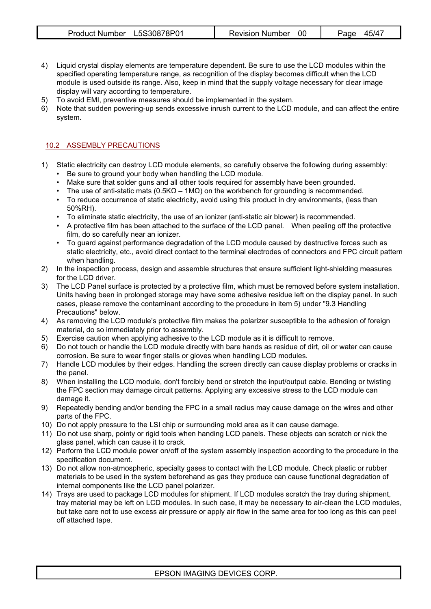| Product Number L5S30878P01 | Revision Number 00 | Page 45/47 |
|----------------------------|--------------------|------------|
|----------------------------|--------------------|------------|

- 4) Liquid crystal display elements are temperature dependent. Be sure to use the LCD modules within the specified operating temperature range, as recognition of the display becomes difficult when the LCD module is used outside its range. Also, keep in mind that the supply voltage necessary for clear image display will vary according to temperature.
- 5) To avoid EMI, preventive measures should be implemented in the system.<br>6) Note that sudden powering-up sends excessive inrush current to the LCD is
- Note that sudden powering-up sends excessive inrush current to the LCD module, and can affect the entire system.

## 10.2 ASSEMBLY PRECAUTIONS

- 1) Static electricity can destroy LCD module elements, so carefully observe the following during assembly: • Be sure to ground your body when handling the LCD module.
	- Make sure that solder guns and all other tools required for assembly have been grounded.
	- The use of anti-static mats (0.5K $\Omega$  1M $\Omega$ ) on the workbench for grounding is recommended.
	- To reduce occurrence of static electricity, avoid using this product in dry environments, (less than 50%RH).
	- To eliminate static electricity, the use of an ionizer (anti-static air blower) is recommended.
	- A protective film has been attached to the surface of the LCD panel. When peeling off the protective film, do so carefully near an ionizer.
	- To guard against performance degradation of the LCD module caused by destructive forces such as static electricity, etc., avoid direct contact to the terminal electrodes of connectors and FPC circuit pattern when handling.
- 2) In the inspection process, design and assemble structures that ensure sufficient light-shielding measures for the LCD driver.
- 3) The LCD Panel surface is protected by a protective film, which must be removed before system installation. Units having been in prolonged storage may have some adhesive residue left on the display panel. In such cases, please remove the contaminant according to the procedure in item 5) under "9.3 Handling Precautions" below.
- 4) As removing the LCD module's protective film makes the polarizer susceptible to the adhesion of foreign material, do so immediately prior to assembly.
- 5) Exercise caution when applying adhesive to the LCD module as it is difficult to remove.
- 6) Do not touch or handle the LCD module directly with bare hands as residue of dirt, oil or water can cause corrosion. Be sure to wear finger stalls or gloves when handling LCD modules.
- 7) Handle LCD modules by their edges. Handling the screen directly can cause display problems or cracks in the panel.
- 8) When installing the LCD module, don't forcibly bend or stretch the input/output cable. Bending or twisting the FPC section may damage circuit patterns. Applying any excessive stress to the LCD module can damage it.
- 9) Repeatedly bending and/or bending the FPC in a small radius may cause damage on the wires and other parts of the FPC.
- 10) Do not apply pressure to the LSI chip or surrounding mold area as it can cause damage.
- 11) Do not use sharp, pointy or rigid tools when handing LCD panels. These objects can scratch or nick the glass panel, which can cause it to crack.
- 12) Perform the LCD module power on/off of the system assembly inspection according to the procedure in the specification document.
- 13) Do not allow non-atmospheric, specialty gases to contact with the LCD module. Check plastic or rubber materials to be used in the system beforehand as gas they produce can cause functional degradation of internal components like the LCD panel polarizer.
- 14) Trays are used to package LCD modules for shipment. If LCD modules scratch the tray during shipment, tray material may be left on LCD modules. In such case, it may be necessary to air-clean the LCD modules, but take care not to use excess air pressure or apply air flow in the same area for too long as this can peel off attached tape.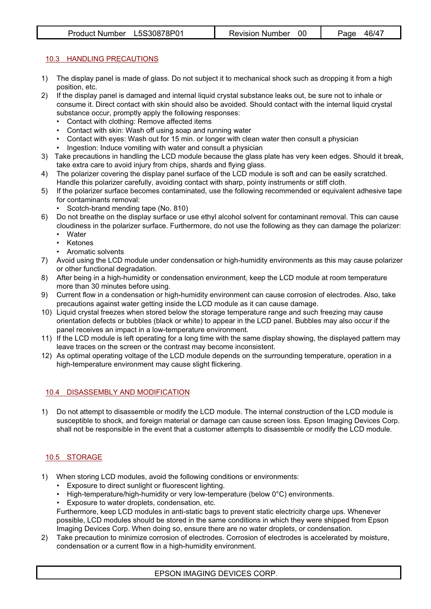# 10.3 HANDLING PRECAUTIONS

- 1) The display panel is made of glass. Do not subject it to mechanical shock such as dropping it from a high position, etc.
- 2) If the display panel is damaged and internal liquid crystal substance leaks out, be sure not to inhale or consume it. Direct contact with skin should also be avoided. Should contact with the internal liquid crystal substance occur, promptly apply the following responses:
	- Contact with clothing: Remove affected items
	- Contact with skin: Wash off using soap and running water
	- Contact with eyes: Wash out for 15 min. or longer with clean water then consult a physician
	- Ingestion: Induce vomiting with water and consult a physician
- 3) Take precautions in handling the LCD module because the glass plate has very keen edges. Should it break, take extra care to avoid injury from chips, shards and flying glass.
- 4) The polarizer covering the display panel surface of the LCD module is soft and can be easily scratched. Handle this polarizer carefully, avoiding contact with sharp, pointy instruments or stiff cloth.
- 5) If the polarizer surface becomes contaminated, use the following recommended or equivalent adhesive tape for contaminants removal:
	- Scotch-brand mending tape (No. 810)
- 6) Do not breathe on the display surface or use ethyl alcohol solvent for contaminant removal. This can cause cloudiness in the polarizer surface. Furthermore, do not use the following as they can damage the polarizer:
	- Water
	- Ketones
	- Aromatic solvents
- 7) Avoid using the LCD module under condensation or high-humidity environments as this may cause polarizer or other functional degradation.
- 8) After being in a high-humidity or condensation environment, keep the LCD module at room temperature more than 30 minutes before using.
- 9) Current flow in a condensation or high-humidity environment can cause corrosion of electrodes. Also, take precautions against water getting inside the LCD module as it can cause damage.
- 10) Liquid crystal freezes when stored below the storage temperature range and such freezing may cause orientation defects or bubbles (black or white) to appear in the LCD panel. Bubbles may also occur if the panel receives an impact in a low-temperature environment.
- 11) If the LCD module is left operating for a long time with the same display showing, the displayed pattern may leave traces on the screen or the contrast may become inconsistent.
- 12) As optimal operating voltage of the LCD module depends on the surrounding temperature, operation in a high-temperature environment may cause slight flickering.

# 10.4 DISASSEMBLY AND MODIFICATION

1) Do not attempt to disassemble or modify the LCD module. The internal construction of the LCD module is susceptible to shock, and foreign material or damage can cause screen loss. Epson Imaging Devices Corp. shall not be responsible in the event that a customer attempts to disassemble or modify the LCD module.

# 10.5 STORAGE

- 1) When storing LCD modules, avoid the following conditions or environments:
	- Exposure to direct sunlight or fluorescent lighting.
	- High-temperature/high-humidity or very low-temperature (below 0°C) environments.
	- Exposure to water droplets, condensation, etc.

 Furthermore, keep LCD modules in anti-static bags to prevent static electricity charge ups. Whenever possible, LCD modules should be stored in the same conditions in which they were shipped from Epson Imaging Devices Corp. When doing so, ensure there are no water droplets, or condensation.

2) Take precaution to minimize corrosion of electrodes. Corrosion of electrodes is accelerated by moisture, condensation or a current flow in a high-humidity environment.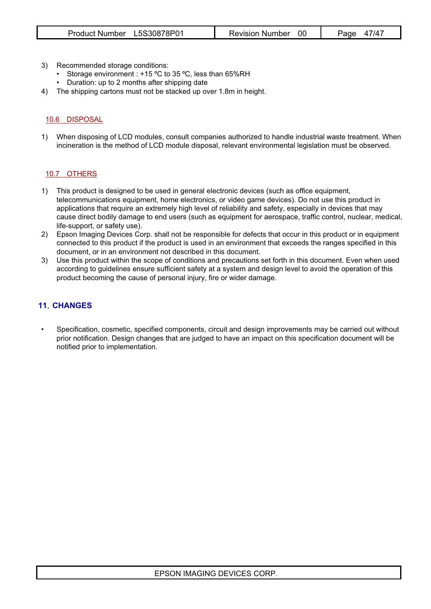- 3) Recommended storage conditions:
	- Storage environment : +15 °C to 35 °C, less than 65%RH
	- Duration: up to 2 months after shipping date
- 4) The shipping cartons must not be stacked up over 1.8m in height.

## 10.6 DISPOSAL

1) When disposing of LCD modules, consult companies authorized to handle industrial waste treatment. When incineration is the method of LCD module disposal, relevant environmental legislation must be observed.

## 10.7 OTHERS

- 1) This product is designed to be used in general electronic devices (such as office equipment, telecommunications equipment, home electronics, or video game devices). Do not use this product in applications that require an extremely high level of reliability and safety, especially in devices that may cause direct bodily damage to end users (such as equipment for aerospace, traffic control, nuclear, medical, life-support, or safety use).
- 2) Epson Imaging Devices Corp. shall not be responsible for defects that occur in this product or in equipment connected to this product if the product is used in an environment that exceeds the ranges specified in this document, or in an environment not described in this document.
- 3) Use this product within the scope of conditions and precautions set forth in this document. Even when used according to guidelines ensure sufficient safety at a system and design level to avoid the operation of this product becoming the cause of personal injury, fire or wider damage.

# **11**䯺**CHANGES**

• Specification, cosmetic, specified components, circuit and design improvements may be carried out without prior notification. Design changes that are judged to have an impact on this specification document will be notified prior to implementation.